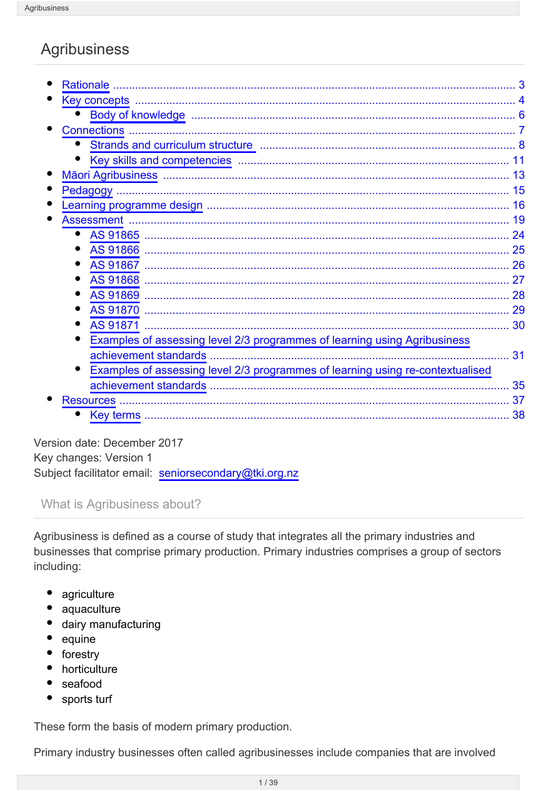# **Agribusiness**

| <b>Rationale</b>                                                               | 3  |
|--------------------------------------------------------------------------------|----|
|                                                                                |    |
|                                                                                | 6  |
| <b>Connections</b>                                                             |    |
|                                                                                | 8  |
|                                                                                |    |
|                                                                                | 13 |
| Pedagogy                                                                       | 15 |
| $\bullet$                                                                      | 16 |
| <b>Assessment</b>                                                              | 19 |
|                                                                                | 24 |
|                                                                                | 25 |
| AS 91867                                                                       | 26 |
|                                                                                | 27 |
|                                                                                | 28 |
|                                                                                | 29 |
| AS 91871                                                                       | 30 |
| Examples of assessing level 2/3 programmes of learning using Agribusiness      |    |
| achievement standards                                                          | 31 |
| Examples of assessing level 2/3 programmes of learning using re-contextualised |    |
| achievement standards                                                          | 35 |
| <b>Resources</b>                                                               | 37 |
| Key terms                                                                      | 38 |
|                                                                                |    |

Version date: December 2017 Key changes: Version 1 Subject facilitator email: seniorsecondary@tki.org.nz

#### What is Agribusiness about?

Agribusiness is defined as a course of study that integrates all the primary industries and businesses that comprise primary production. Primary industries comprises a group of sectors including:

- agriculture
- $\bullet$ aquaculture
- · dairy manufacturing
- equine
- forestry
- horticulture
- seafood
- sports turf

These form the basis of modern primary production.

Primary industry businesses often called agribusinesses include companies that are involved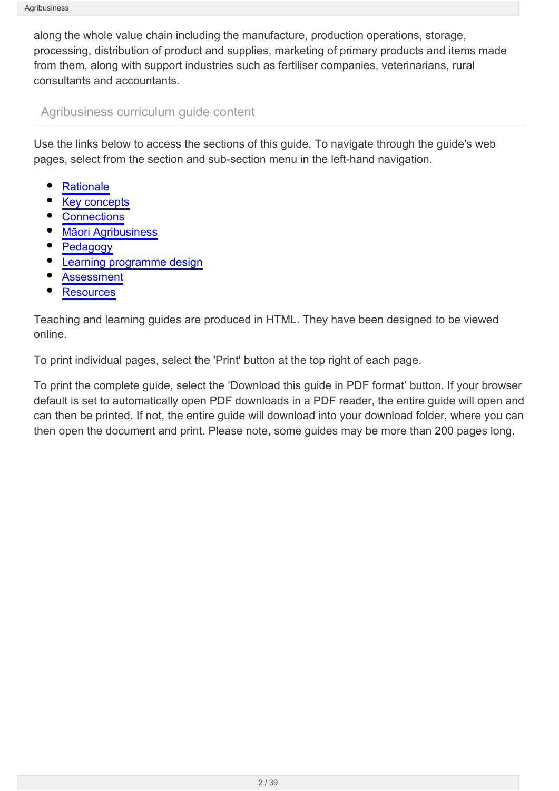along the whole value chain including the manufacture, production operations, storage, processing, distribution of product and supplies, marketing of primary products and items made from them, along with support industries such as fertiliser companies, veterinarians, rural consultants and accountants.

Agribusiness curriculum guide content

Use the links below to access the sections of this guide. To navigate through the guide's web pages, select from the section and sub-section menu in the left-hand navigation.

- **[Rationale](http://seniorsecondary.tki.org.nz/Integrated-studies/Agribusiness/Rationale)**
- [Key concepts](http://seniorsecondary.tki.org.nz/Integrated-studies/Agribusiness/Key-concepts)
- **[Connections](http://seniorsecondary.tki.org.nz/Integrated-studies/Agribusiness/Connections)**
- [Māori Agribusiness](http://seniorsecondary.tki.org.nz/Integrated-studies/Agribusiness/Maori-Agribusiness)
- [Pedagogy](http://seniorsecondary.tki.org.nz/Integrated-studies/Agribusiness/Pedagogy)
- [Learning programme design](http://seniorsecondary.tki.org.nz/Integrated-studies/Agribusiness/Learning-programme-design)
- [Assessment](http://seniorsecondary.tki.org.nz/Integrated-studies/Agribusiness/Assessment)
- **[Resources](http://seniorsecondary.tki.org.nz/Integrated-studies/Agribusiness/Resources)**

Teaching and learning guides are produced in HTML. They have been designed to be viewed online.

To print individual pages, select the 'Print' button at the top right of each page.

To print the complete guide, select the 'Download this guide in PDF format' button. If your browser default is set to automatically open PDF downloads in a PDF reader, the entire guide will open and can then be printed. If not, the entire guide will download into your download folder, where you can then open the document and print. Please note, some guides may be more than 200 pages long.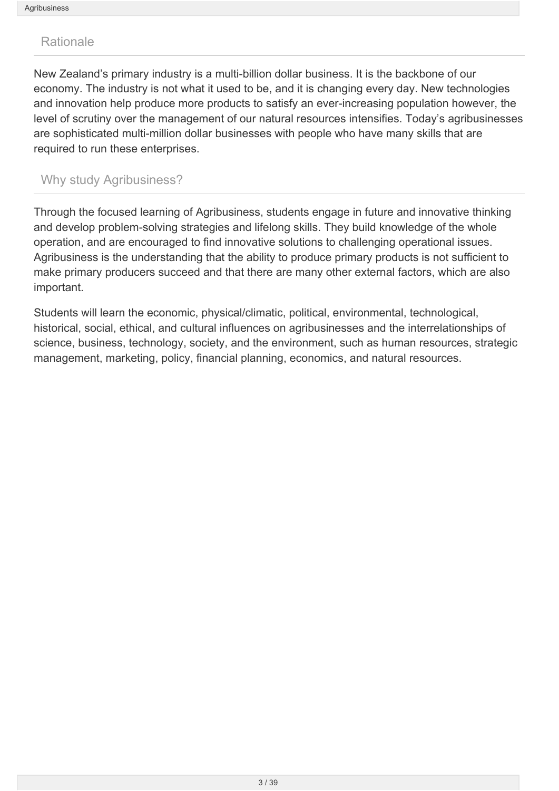#### <span id="page-2-0"></span>Rationale

New Zealand's primary industry is a multi-billion dollar business. It is the backbone of our economy. The industry is not what it used to be, and it is changing every day. New technologies and innovation help produce more products to satisfy an ever-increasing population however, the level of scrutiny over the management of our natural resources intensifies. Today's agribusinesses are sophisticated multi-million dollar businesses with people who have many skills that are required to run these enterprises.

### Why study Agribusiness?

Through the focused learning of Agribusiness, students engage in future and innovative thinking and develop problem-solving strategies and lifelong skills. They build knowledge of the whole operation, and are encouraged to find innovative solutions to challenging operational issues. Agribusiness is the understanding that the ability to produce primary products is not sufficient to make primary producers succeed and that there are many other external factors, which are also important.

Students will learn the economic, physical/climatic, political, environmental, technological, historical, social, ethical, and cultural influences on agribusinesses and the interrelationships of science, business, technology, society, and the environment, such as human resources, strategic management, marketing, policy, financial planning, economics, and natural resources.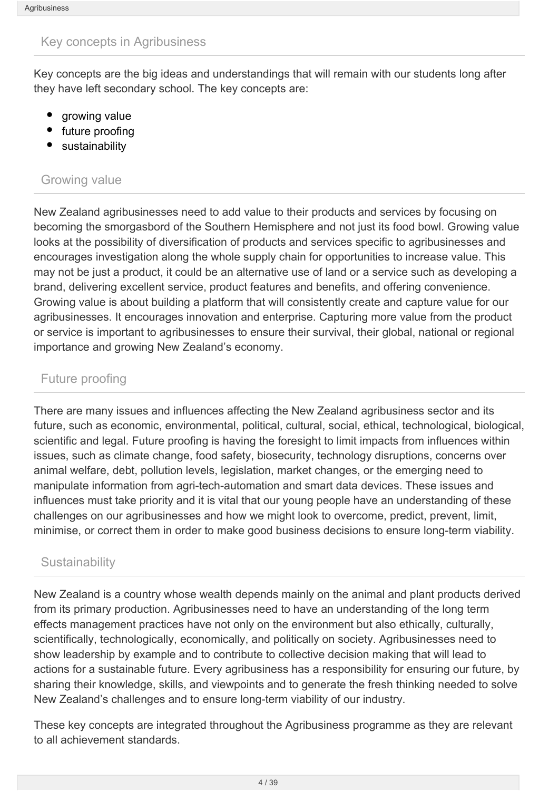#### <span id="page-3-0"></span>Key concepts in Agribusiness

Key concepts are the big ideas and understandings that will remain with our students long after they have left secondary school. The key concepts are:

- growing value
- future proofing
- sustainability

#### Growing value

New Zealand agribusinesses need to add value to their products and services by focusing on becoming the smorgasbord of the Southern Hemisphere and not just its food bowl. Growing value looks at the possibility of diversification of products and services specific to agribusinesses and encourages investigation along the whole supply chain for opportunities to increase value. This may not be just a product, it could be an alternative use of land or a service such as developing a brand, delivering excellent service, product features and benefits, and offering convenience. Growing value is about building a platform that will consistently create and capture value for our agribusinesses. It encourages innovation and enterprise. Capturing more value from the product or service is important to agribusinesses to ensure their survival, their global, national or regional importance and growing New Zealand's economy.

### Future proofing

There are many issues and influences affecting the New Zealand agribusiness sector and its future, such as economic, environmental, political, cultural, social, ethical, technological, biological, scientific and legal. Future proofing is having the foresight to limit impacts from influences within issues, such as climate change, food safety, biosecurity, technology disruptions, concerns over animal welfare, debt, pollution levels, legislation, market changes, or the emerging need to manipulate information from agri-tech-automation and smart data devices. These issues and influences must take priority and it is vital that our young people have an understanding of these challenges on our agribusinesses and how we might look to overcome, predict, prevent, limit, minimise, or correct them in order to make good business decisions to ensure long-term viability.

### **Sustainability**

New Zealand is a country whose wealth depends mainly on the animal and plant products derived from its primary production. Agribusinesses need to have an understanding of the long term effects management practices have not only on the environment but also ethically, culturally, scientifically, technologically, economically, and politically on society. Agribusinesses need to show leadership by example and to contribute to collective decision making that will lead to actions for a sustainable future. Every agribusiness has a responsibility for ensuring our future, by sharing their knowledge, skills, and viewpoints and to generate the fresh thinking needed to solve New Zealand's challenges and to ensure long-term viability of our industry.

These key concepts are integrated throughout the Agribusiness programme as they are relevant to all achievement standards.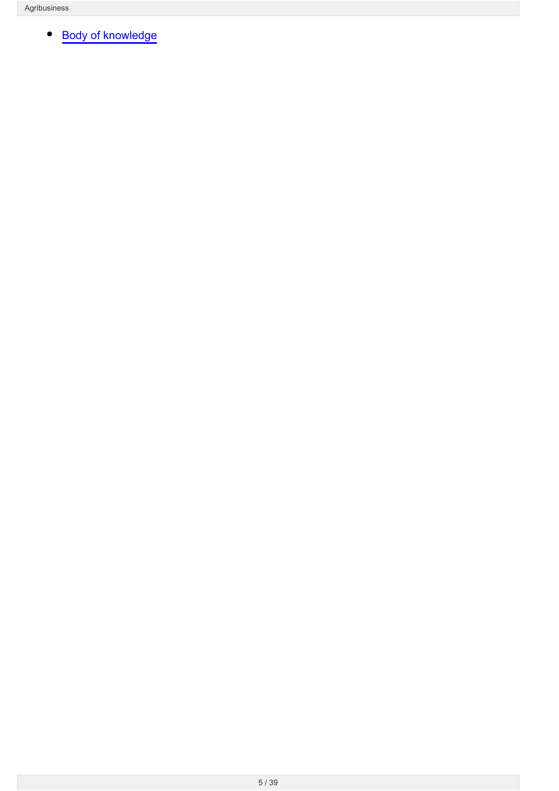[Body of knowledge](http://seniorsecondary.tki.org.nz/Integrated-studies/Agribusiness/Key-concepts/Body-of-knowledge) $\bullet$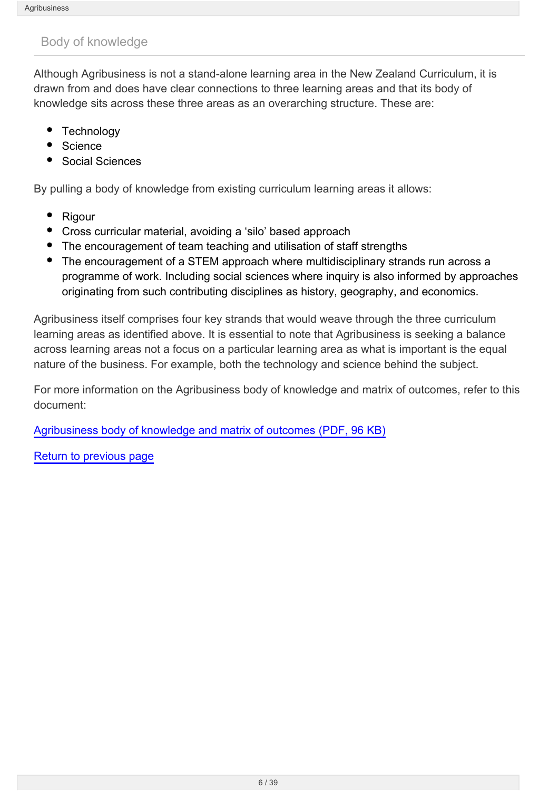### <span id="page-5-0"></span>Body of knowledge

Although Agribusiness is not a stand-alone learning area in the New Zealand Curriculum, it is drawn from and does have clear connections to three learning areas and that its body of knowledge sits across these three areas as an overarching structure. These are:

- **Technology**
- **Science**
- Social Sciences

By pulling a body of knowledge from existing curriculum learning areas it allows:

- Rigour
- Cross curricular material, avoiding a 'silo' based approach
- The encouragement of team teaching and utilisation of staff strengths
- The encouragement of a STEM approach where multidisciplinary strands run across a programme of work. Including social sciences where inquiry is also informed by approaches originating from such contributing disciplines as history, geography, and economics.

Agribusiness itself comprises four key strands that would weave through the three curriculum learning areas as identified above. It is essential to note that Agribusiness is seeking a balance across learning areas not a focus on a particular learning area as what is important is the equal nature of the business. For example, both the technology and science behind the subject.

For more information on the Agribusiness body of knowledge and matrix of outcomes, refer to this document:

[Agribusiness body of knowledge and matrix of outcomes \(PDF, 96 KB\)](http://seniorsecondary.tki.org.nz/content/download/3802/30998/file/Agribusiness body of knowledge and matrix of outcomes.pdf)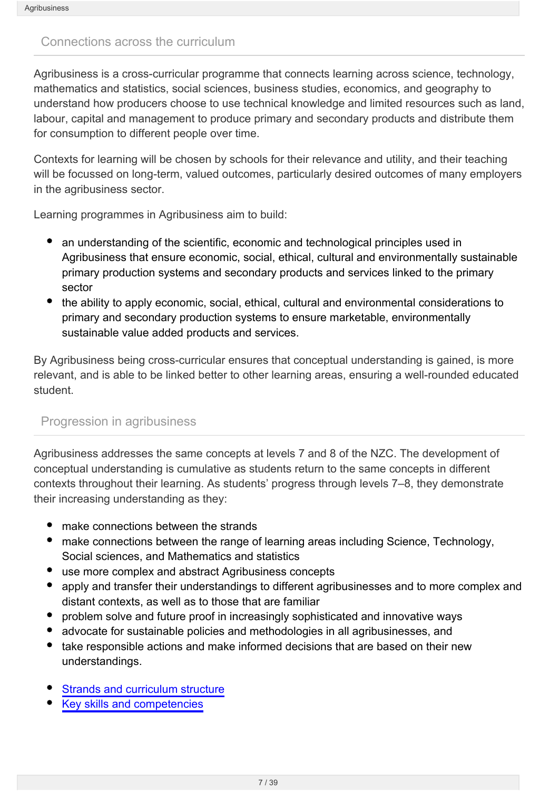#### <span id="page-6-0"></span>Connections across the curriculum

Agribusiness is a cross-curricular programme that connects learning across science, technology, mathematics and statistics, social sciences, business studies, economics, and geography to understand how producers choose to use technical knowledge and limited resources such as land, labour, capital and management to produce primary and secondary products and distribute them for consumption to different people over time.

Contexts for learning will be chosen by schools for their relevance and utility, and their teaching will be focussed on long-term, valued outcomes, particularly desired outcomes of many employers in the agribusiness sector.

Learning programmes in Agribusiness aim to build:

- an understanding of the scientific, economic and technological principles used in Agribusiness that ensure economic, social, ethical, cultural and environmentally sustainable primary production systems and secondary products and services linked to the primary sector
- the ability to apply economic, social, ethical, cultural and environmental considerations to primary and secondary production systems to ensure marketable, environmentally sustainable value added products and services.

By Agribusiness being cross-curricular ensures that conceptual understanding is gained, is more relevant, and is able to be linked better to other learning areas, ensuring a well-rounded educated student.

#### Progression in agribusiness

Agribusiness addresses the same concepts at levels 7 and 8 of the NZC. The development of conceptual understanding is cumulative as students return to the same concepts in different contexts throughout their learning. As students' progress through levels 7–8, they demonstrate their increasing understanding as they:

- make connections between the strands
- make connections between the range of learning areas including Science, Technology, Social sciences, and Mathematics and statistics
- use more complex and abstract Agribusiness concepts
- $\bullet$ apply and transfer their understandings to different agribusinesses and to more complex and distant contexts, as well as to those that are familiar
- problem solve and future proof in increasingly sophisticated and innovative ways
- advocate for sustainable policies and methodologies in all agribusinesses, and
- take responsible actions and make informed decisions that are based on their new understandings.
- [Strands and curriculum structure](http://seniorsecondary.tki.org.nz/Integrated-studies/Agribusiness/Connections/Strands-and-curriculum-structure)
- [Key skills and competencies](http://seniorsecondary.tki.org.nz/Integrated-studies/Agribusiness/Connections/Key-skills-and-competencies)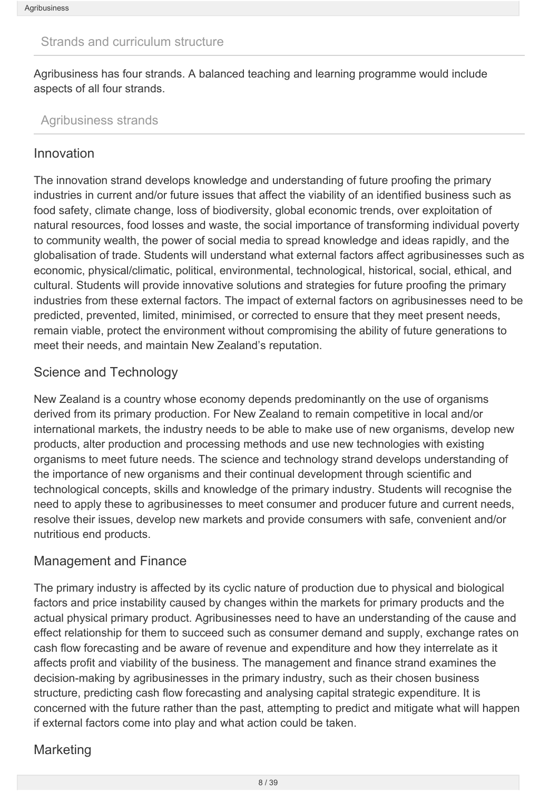#### <span id="page-7-0"></span>Strands and curriculum structure

Agribusiness has four strands. A balanced teaching and learning programme would include aspects of all four strands.

#### Agribusiness strands

#### Innovation

The innovation strand develops knowledge and understanding of future proofing the primary industries in current and/or future issues that affect the viability of an identified business such as food safety, climate change, loss of biodiversity, global economic trends, over exploitation of natural resources, food losses and waste, the social importance of transforming individual poverty to community wealth, the power of social media to spread knowledge and ideas rapidly, and the globalisation of trade. Students will understand what external factors affect agribusinesses such as economic, physical/climatic, political, environmental, technological, historical, social, ethical, and cultural. Students will provide innovative solutions and strategies for future proofing the primary industries from these external factors. The impact of external factors on agribusinesses need to be predicted, prevented, limited, minimised, or corrected to ensure that they meet present needs, remain viable, protect the environment without compromising the ability of future generations to meet their needs, and maintain New Zealand's reputation.

### Science and Technology

New Zealand is a country whose economy depends predominantly on the use of organisms derived from its primary production. For New Zealand to remain competitive in local and/or international markets, the industry needs to be able to make use of new organisms, develop new products, alter production and processing methods and use new technologies with existing organisms to meet future needs. The science and technology strand develops understanding of the importance of new organisms and their continual development through scientific and technological concepts, skills and knowledge of the primary industry. Students will recognise the need to apply these to agribusinesses to meet consumer and producer future and current needs, resolve their issues, develop new markets and provide consumers with safe, convenient and/or nutritious end products.

### Management and Finance

The primary industry is affected by its cyclic nature of production due to physical and biological factors and price instability caused by changes within the markets for primary products and the actual physical primary product. Agribusinesses need to have an understanding of the cause and effect relationship for them to succeed such as consumer demand and supply, exchange rates on cash flow forecasting and be aware of revenue and expenditure and how they interrelate as it affects profit and viability of the business. The management and finance strand examines the decision-making by agribusinesses in the primary industry, such as their chosen business structure, predicting cash flow forecasting and analysing capital strategic expenditure. It is concerned with the future rather than the past, attempting to predict and mitigate what will happen if external factors come into play and what action could be taken.

### **Marketing**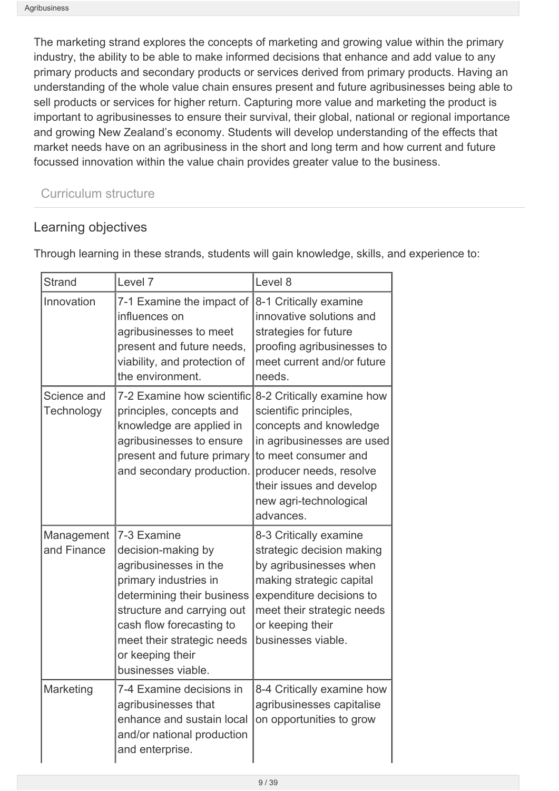The marketing strand explores the concepts of marketing and growing value within the primary industry, the ability to be able to make informed decisions that enhance and add value to any primary products and secondary products or services derived from primary products. Having an understanding of the whole value chain ensures present and future agribusinesses being able to sell products or services for higher return. Capturing more value and marketing the product is important to agribusinesses to ensure their survival, their global, national or regional importance and growing New Zealand's economy. Students will develop understanding of the effects that market needs have on an agribusiness in the short and long term and how current and future focussed innovation within the value chain provides greater value to the business.

## Curriculum structure

## Learning objectives

| <b>Strand</b>             | Level 7                                                                                                                                                                                                                                             | Level 8                                                                                                                                                                                                                            |
|---------------------------|-----------------------------------------------------------------------------------------------------------------------------------------------------------------------------------------------------------------------------------------------------|------------------------------------------------------------------------------------------------------------------------------------------------------------------------------------------------------------------------------------|
| Innovation                | 7-1 Examine the impact of<br>influences on<br>agribusinesses to meet<br>present and future needs,<br>viability, and protection of<br>the environment.                                                                                               | 8-1 Critically examine<br>innovative solutions and<br>strategies for future<br>proofing agribusinesses to<br>meet current and/or future<br>needs.                                                                                  |
| Science and<br>Technology | 7-2 Examine how scientific<br>principles, concepts and<br>knowledge are applied in<br>agribusinesses to ensure<br>present and future primary<br>and secondary production.                                                                           | 8-2 Critically examine how<br>scientific principles,<br>concepts and knowledge<br>in agribusinesses are used<br>to meet consumer and<br>producer needs, resolve<br>their issues and develop<br>new agri-technological<br>advances. |
| Management<br>and Finance | 7-3 Examine<br>decision-making by<br>agribusinesses in the<br>primary industries in<br>determining their business<br>structure and carrying out<br>cash flow forecasting to<br>meet their strategic needs<br>or keeping their<br>businesses viable. | 8-3 Critically examine<br>strategic decision making<br>by agribusinesses when<br>making strategic capital<br>expenditure decisions to<br>meet their strategic needs<br>or keeping their<br>businesses viable.                      |
| Marketing                 | 7-4 Examine decisions in<br>agribusinesses that<br>enhance and sustain local<br>and/or national production<br>and enterprise.                                                                                                                       | 8-4 Critically examine how<br>agribusinesses capitalise<br>on opportunities to grow                                                                                                                                                |

Through learning in these strands, students will gain knowledge, skills, and experience to: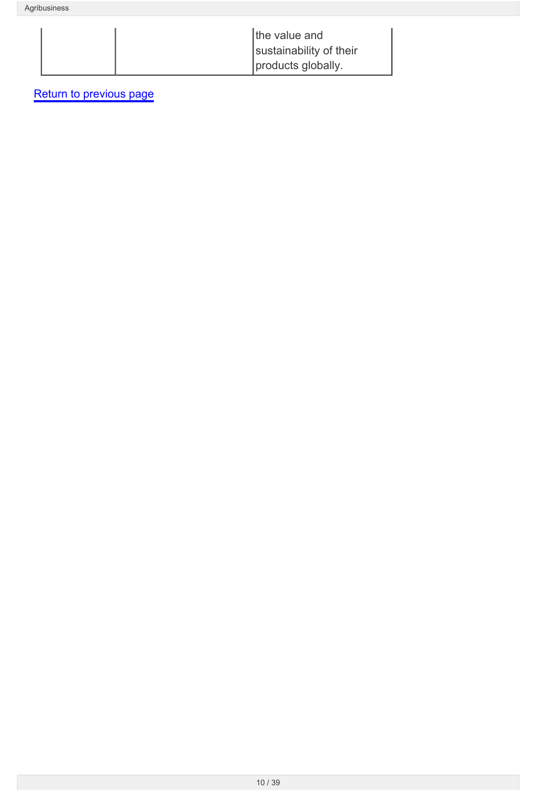| the value and           |
|-------------------------|
| sustainability of their |
| products globally.      |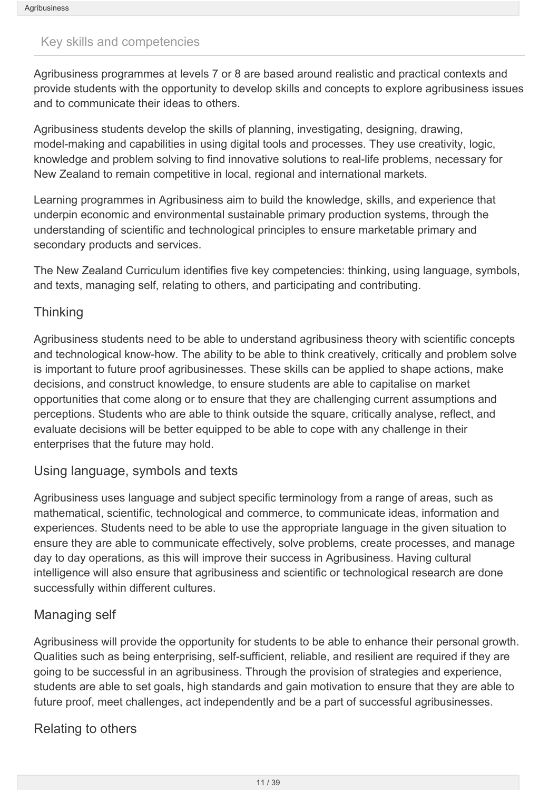#### <span id="page-10-0"></span>Key skills and competencies

Agribusiness programmes at levels 7 or 8 are based around realistic and practical contexts and provide students with the opportunity to develop skills and concepts to explore agribusiness issues and to communicate their ideas to others.

Agribusiness students develop the skills of planning, investigating, designing, drawing, model-making and capabilities in using digital tools and processes. They use creativity, logic, knowledge and problem solving to find innovative solutions to real-life problems, necessary for New Zealand to remain competitive in local, regional and international markets.

Learning programmes in Agribusiness aim to build the knowledge, skills, and experience that underpin economic and environmental sustainable primary production systems, through the understanding of scientific and technological principles to ensure marketable primary and secondary products and services.

The New Zealand Curriculum identifies five key competencies: thinking, using language, symbols, and texts, managing self, relating to others, and participating and contributing.

### **Thinking**

Agribusiness students need to be able to understand agribusiness theory with scientific concepts and technological know-how. The ability to be able to think creatively, critically and problem solve is important to future proof agribusinesses. These skills can be applied to shape actions, make decisions, and construct knowledge, to ensure students are able to capitalise on market opportunities that come along or to ensure that they are challenging current assumptions and perceptions. Students who are able to think outside the square, critically analyse, reflect, and evaluate decisions will be better equipped to be able to cope with any challenge in their enterprises that the future may hold.

### Using language, symbols and texts

Agribusiness uses language and subject specific terminology from a range of areas, such as mathematical, scientific, technological and commerce, to communicate ideas, information and experiences. Students need to be able to use the appropriate language in the given situation to ensure they are able to communicate effectively, solve problems, create processes, and manage day to day operations, as this will improve their success in Agribusiness. Having cultural intelligence will also ensure that agribusiness and scientific or technological research are done successfully within different cultures.

### Managing self

Agribusiness will provide the opportunity for students to be able to enhance their personal growth. Qualities such as being enterprising, self-sufficient, reliable, and resilient are required if they are going to be successful in an agribusiness. Through the provision of strategies and experience, students are able to set goals, high standards and gain motivation to ensure that they are able to future proof, meet challenges, act independently and be a part of successful agribusinesses.

### Relating to others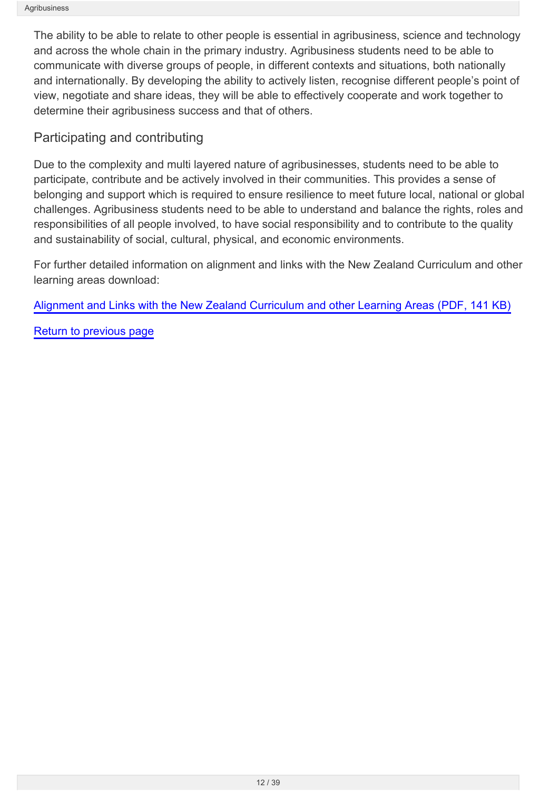The ability to be able to relate to other people is essential in agribusiness, science and technology and across the whole chain in the primary industry. Agribusiness students need to be able to communicate with diverse groups of people, in different contexts and situations, both nationally and internationally. By developing the ability to actively listen, recognise different people's point of view, negotiate and share ideas, they will be able to effectively cooperate and work together to determine their agribusiness success and that of others.

## Participating and contributing

Due to the complexity and multi layered nature of agribusinesses, students need to be able to participate, contribute and be actively involved in their communities. This provides a sense of belonging and support which is required to ensure resilience to meet future local, national or global challenges. Agribusiness students need to be able to understand and balance the rights, roles and responsibilities of all people involved, to have social responsibility and to contribute to the quality and sustainability of social, cultural, physical, and economic environments.

For further detailed information on alignment and links with the New Zealand Curriculum and other learning areas download:

[Alignment and Links with the New Zealand Curriculum and other Learning Areas \(PDF, 141 KB\)](http://seniorsecondary.tki.org.nz/content/download/3799/30982/file/Alignment and Links with the New Zealand Curriculum and other Learning Areas.pdf)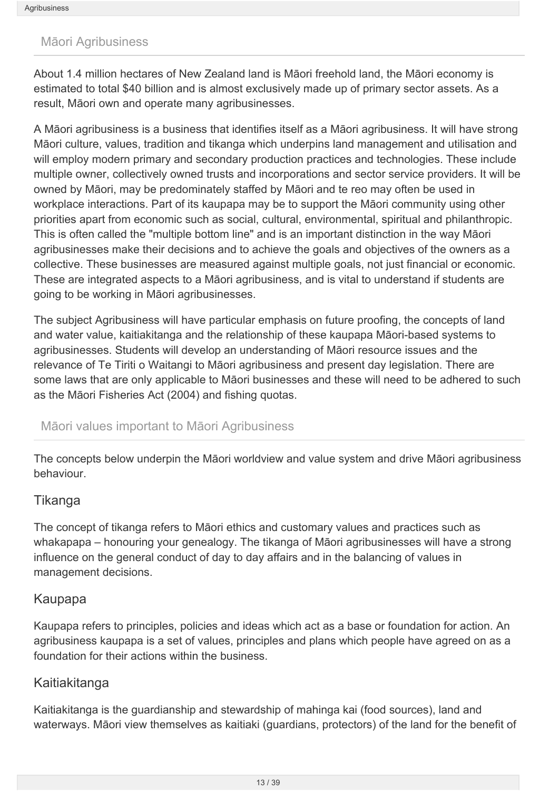#### <span id="page-12-0"></span>Māori Agribusiness

About 1.4 million hectares of New Zealand land is Māori freehold land, the Māori economy is estimated to total \$40 billion and is almost exclusively made up of primary sector assets. As a result, Māori own and operate many agribusinesses.

A Māori agribusiness is a business that identifies itself as a Māori agribusiness. It will have strong Māori culture, values, tradition and tikanga which underpins land management and utilisation and will employ modern primary and secondary production practices and technologies. These include multiple owner, collectively owned trusts and incorporations and sector service providers. It will be owned by Māori, may be predominately staffed by Māori and te reo may often be used in workplace interactions. Part of its kaupapa may be to support the Māori community using other priorities apart from economic such as social, cultural, environmental, spiritual and philanthropic. This is often called the "multiple bottom line" and is an important distinction in the way Māori agribusinesses make their decisions and to achieve the goals and objectives of the owners as a collective. These businesses are measured against multiple goals, not just financial or economic. These are integrated aspects to a Māori agribusiness, and is vital to understand if students are going to be working in Māori agribusinesses.

The subject Agribusiness will have particular emphasis on future proofing, the concepts of land and water value, kaitiakitanga and the relationship of these kaupapa Māori-based systems to agribusinesses. Students will develop an understanding of Māori resource issues and the relevance of Te Tiriti o Waitangi to Māori agribusiness and present day legislation. There are some laws that are only applicable to Māori businesses and these will need to be adhered to such as the Māori Fisheries Act (2004) and fishing quotas.

#### Māori values important to Māori Agribusiness

The concepts below underpin the Māori worldview and value system and drive Māori agribusiness behaviour.

#### Tikanga

The concept of tikanga refers to Māori ethics and customary values and practices such as whakapapa – honouring your genealogy. The tikanga of Māori agribusinesses will have a strong influence on the general conduct of day to day affairs and in the balancing of values in management decisions.

#### Kaupapa

Kaupapa refers to principles, policies and ideas which act as a base or foundation for action. An agribusiness kaupapa is a set of values, principles and plans which people have agreed on as a foundation for their actions within the business.

#### Kaitiakitanga

Kaitiakitanga is the guardianship and stewardship of mahinga kai (food sources), land and waterways. Māori view themselves as kaitiaki (guardians, protectors) of the land for the benefit of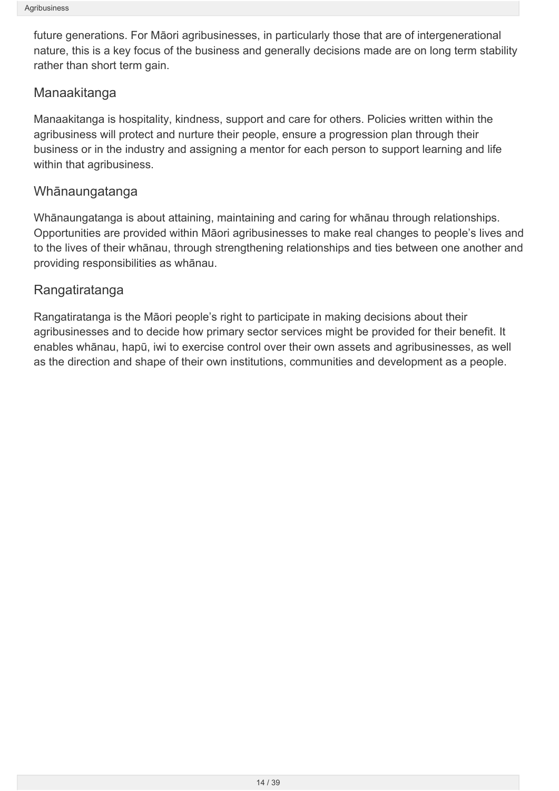future generations. For Māori agribusinesses, in particularly those that are of intergenerational nature, this is a key focus of the business and generally decisions made are on long term stability rather than short term gain.

### Manaakitanga

Manaakitanga is hospitality, kindness, support and care for others. Policies written within the agribusiness will protect and nurture their people, ensure a progression plan through their business or in the industry and assigning a mentor for each person to support learning and life within that agribusiness.

### Whānaungatanga

Whānaungatanga is about attaining, maintaining and caring for whānau through relationships. Opportunities are provided within Māori agribusinesses to make real changes to people's lives and to the lives of their whānau, through strengthening relationships and ties between one another and providing responsibilities as whānau.

### Rangatiratanga

Rangatiratanga is the Māori people's right to participate in making decisions about their agribusinesses and to decide how primary sector services might be provided for their benefit. It enables whānau, hapū, iwi to exercise control over their own assets and agribusinesses, as well as the direction and shape of their own institutions, communities and development as a people.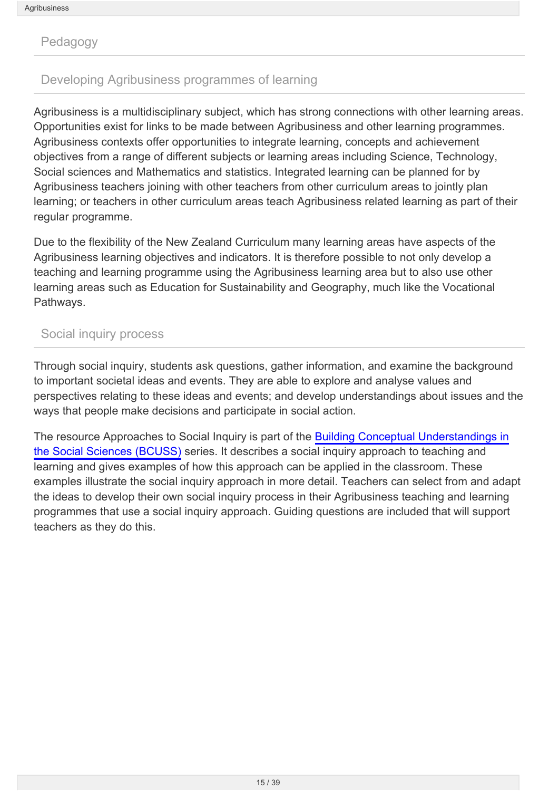<span id="page-14-0"></span>Pedagogy

### Developing Agribusiness programmes of learning

Agribusiness is a multidisciplinary subject, which has strong connections with other learning areas. Opportunities exist for links to be made between Agribusiness and other learning programmes. Agribusiness contexts offer opportunities to integrate learning, concepts and achievement objectives from a range of different subjects or learning areas including Science, Technology, Social sciences and Mathematics and statistics. Integrated learning can be planned for by Agribusiness teachers joining with other teachers from other curriculum areas to jointly plan learning; or teachers in other curriculum areas teach Agribusiness related learning as part of their regular programme.

Due to the flexibility of the New Zealand Curriculum many learning areas have aspects of the Agribusiness learning objectives and indicators. It is therefore possible to not only develop a teaching and learning programme using the Agribusiness learning area but to also use other learning areas such as Education for Sustainability and Geography, much like the Vocational Pathways.

#### Social inquiry process

Through social inquiry, students ask questions, gather information, and examine the background to important societal ideas and events. They are able to explore and analyse values and perspectives relating to these ideas and events; and develop understandings about issues and the ways that people make decisions and participate in social action.

The resource Approaches to Social Inquiry is part of the [Building Conceptual Understandings in](http://ssol.tki.org.nz/Social-studies-years-1-10/Teaching-and-learning/effective_teaching_in_social_studies/Building-conceptual-understandings) [the Social Sciences \(BCUSS\)](http://ssol.tki.org.nz/Social-studies-years-1-10/Teaching-and-learning/effective_teaching_in_social_studies/Building-conceptual-understandings) series. It describes a social inquiry approach to teaching and learning and gives examples of how this approach can be applied in the classroom. These examples illustrate the social inquiry approach in more detail. Teachers can select from and adapt the ideas to develop their own social inquiry process in their Agribusiness teaching and learning programmes that use a social inquiry approach. Guiding questions are included that will support teachers as they do this.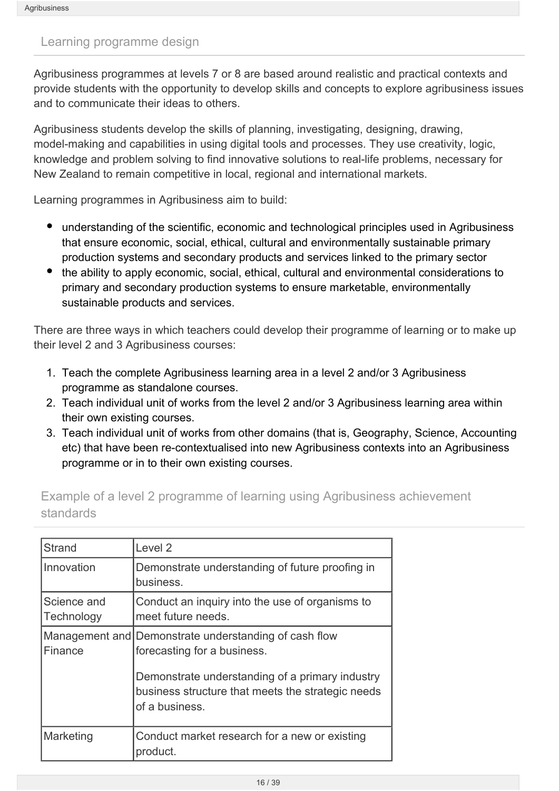#### <span id="page-15-0"></span>Learning programme design

Agribusiness programmes at levels 7 or 8 are based around realistic and practical contexts and provide students with the opportunity to develop skills and concepts to explore agribusiness issues and to communicate their ideas to others.

Agribusiness students develop the skills of planning, investigating, designing, drawing, model-making and capabilities in using digital tools and processes. They use creativity, logic, knowledge and problem solving to find innovative solutions to real-life problems, necessary for New Zealand to remain competitive in local, regional and international markets.

Learning programmes in Agribusiness aim to build:

- understanding of the scientific, economic and technological principles used in Agribusiness that ensure economic, social, ethical, cultural and environmentally sustainable primary production systems and secondary products and services linked to the primary sector
- the ability to apply economic, social, ethical, cultural and environmental considerations to primary and secondary production systems to ensure marketable, environmentally sustainable products and services.

There are three ways in which teachers could develop their programme of learning or to make up their level 2 and 3 Agribusiness courses:

- 1. Teach the complete Agribusiness learning area in a level 2 and/or 3 Agribusiness programme as standalone courses.
- 2. Teach individual unit of works from the level 2 and/or 3 Agribusiness learning area within their own existing courses.
- 3. Teach individual unit of works from other domains (that is, Geography, Science, Accounting etc) that have been re-contextualised into new Agribusiness contexts into an Agribusiness programme or in to their own existing courses.

Example of a level 2 programme of learning using Agribusiness achievement standards

| <b>Strand</b>             | Level <sub>2</sub>                                                                                                                                                                                             |
|---------------------------|----------------------------------------------------------------------------------------------------------------------------------------------------------------------------------------------------------------|
| Innovation                | Demonstrate understanding of future proofing in<br>business.                                                                                                                                                   |
| Science and<br>Technology | Conduct an inquiry into the use of organisms to<br>meet future needs.                                                                                                                                          |
| Finance                   | Management and Demonstrate understanding of cash flow<br>forecasting for a business.<br>Demonstrate understanding of a primary industry<br>business structure that meets the strategic needs<br>of a business. |
| Marketing                 | Conduct market research for a new or existing<br>product.                                                                                                                                                      |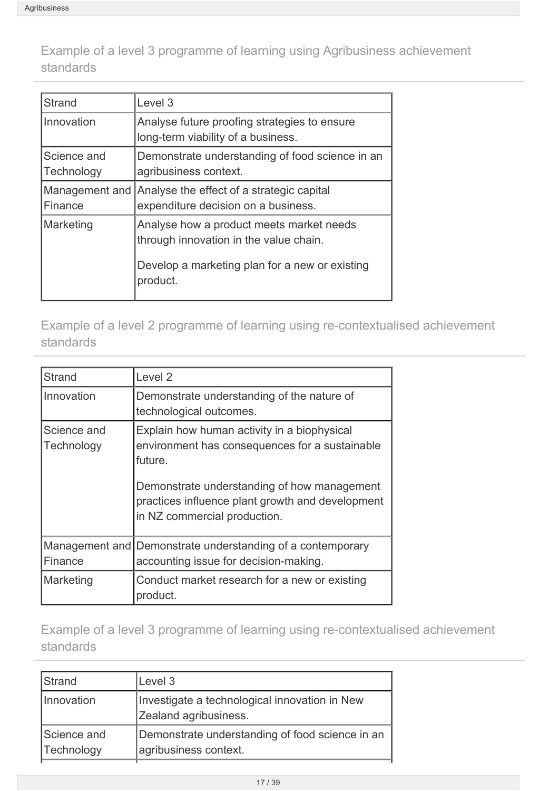Example of a level 3 programme of learning using Agribusiness achievement standards

| Strand                    | Level 3                                                                                                                                          |
|---------------------------|--------------------------------------------------------------------------------------------------------------------------------------------------|
| Innovation                | Analyse future proofing strategies to ensure<br>long-term viability of a business.                                                               |
| Science and<br>Technology | Demonstrate understanding of food science in an<br>agribusiness context.                                                                         |
| Finance                   | Management and Analyse the effect of a strategic capital<br>expenditure decision on a business.                                                  |
| Marketing                 | Analyse how a product meets market needs<br>through innovation in the value chain.<br>Develop a marketing plan for a new or existing<br>product. |

Example of a level 2 programme of learning using re-contextualised achievement standards

| <b>Strand</b>             | Level <sub>2</sub>                                                                                                              |
|---------------------------|---------------------------------------------------------------------------------------------------------------------------------|
| Innovation                | Demonstrate understanding of the nature of<br>technological outcomes.                                                           |
| Science and<br>Technology | Explain how human activity in a biophysical<br>environment has consequences for a sustainable<br>future.                        |
|                           | Demonstrate understanding of how management<br>practices influence plant growth and development<br>in NZ commercial production. |
| Finance                   | Management and Demonstrate understanding of a contemporary<br>accounting issue for decision-making.                             |
| Marketing                 | Conduct market research for a new or existing<br>product.                                                                       |

Example of a level 3 programme of learning using re-contextualised achievement standards

| Strand                    | Level 3                                                                  |
|---------------------------|--------------------------------------------------------------------------|
| Innovation                | Investigate a technological innovation in New<br>Zealand agribusiness.   |
| Science and<br>Technology | Demonstrate understanding of food science in an<br>agribusiness context. |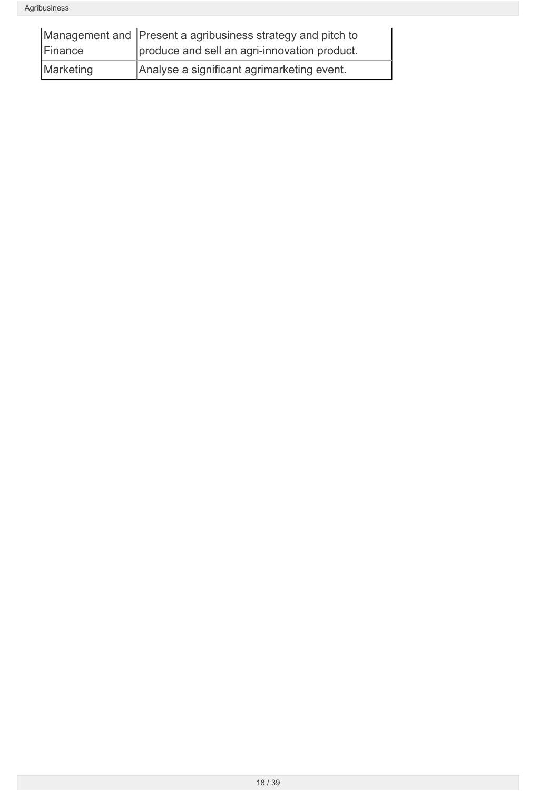|           | Management and Present a agribusiness strategy and pitch to |
|-----------|-------------------------------------------------------------|
| Finance   | produce and sell an agri-innovation product.                |
| Marketing | Analyse a significant agrimarketing event.                  |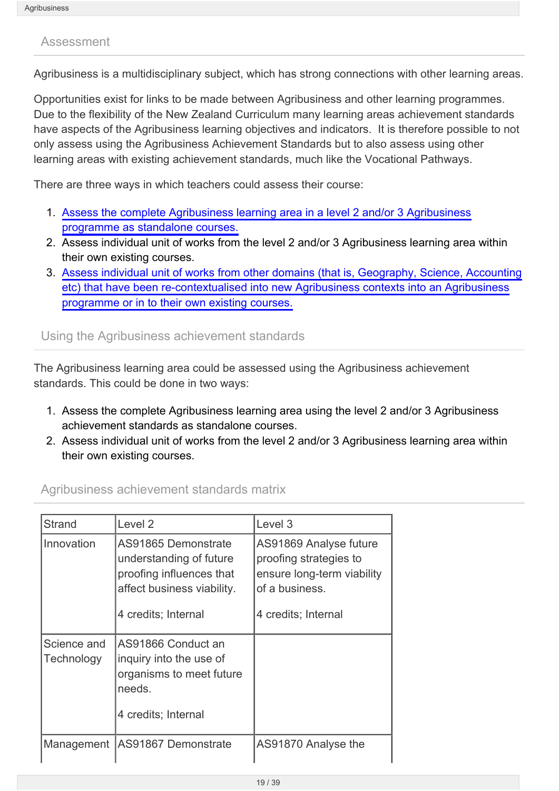#### <span id="page-18-0"></span>Assessment

Agribusiness is a multidisciplinary subject, which has strong connections with other learning areas.

Opportunities exist for links to be made between Agribusiness and other learning programmes. Due to the flexibility of the New Zealand Curriculum many learning areas achievement standards have aspects of the Agribusiness learning objectives and indicators. It is therefore possible to not only assess using the Agribusiness Achievement Standards but to also assess using other learning areas with existing achievement standards, much like the Vocational Pathways.

There are three ways in which teachers could assess their course:

- 1. [Assess the complete Agribusiness learning area in a level 2 and/or 3 Agribusiness](#page-22-0) [programme as standalone courses.](#page-22-0)
- 2. Assess individual unit of works from the level 2 and/or 3 Agribusiness learning area within their own existing courses.
- 3. [Assess individual unit of works from other domains \(that is, Geography, Science, Accounting](http://seniorsecondary.tki.org.nz/Integrated-studies/Agribusiness/Assessment/Examples-of-assessing-level-2-3-programmes-of-learning-using-re-contextualised-achievement-standards#re-contextualised) [etc\) that have been re-contextualised into new Agribusiness contexts into an Agribusiness](http://seniorsecondary.tki.org.nz/Integrated-studies/Agribusiness/Assessment/Examples-of-assessing-level-2-3-programmes-of-learning-using-re-contextualised-achievement-standards#re-contextualised) [programme or in to their own existing courses.](http://seniorsecondary.tki.org.nz/Integrated-studies/Agribusiness/Assessment/Examples-of-assessing-level-2-3-programmes-of-learning-using-re-contextualised-achievement-standards#re-contextualised)

Using the Agribusiness achievement standards

The Agribusiness learning area could be assessed using the Agribusiness achievement standards. This could be done in two ways:

- 1. Assess the complete Agribusiness learning area using the level 2 and/or 3 Agribusiness achievement standards as standalone courses.
- 2. Assess individual unit of works from the level 2 and/or 3 Agribusiness learning area within their own existing courses.

| Agribusiness achievement standards matrix |  |  |
|-------------------------------------------|--|--|
|                                           |  |  |

| <b>Strand</b>             | Level 2                                                                                                                         | Level 3                                                                                                                 |
|---------------------------|---------------------------------------------------------------------------------------------------------------------------------|-------------------------------------------------------------------------------------------------------------------------|
| Innovation                | AS91865 Demonstrate<br>understanding of future<br>proofing influences that<br>affect business viability.<br>4 credits; Internal | AS91869 Analyse future<br>proofing strategies to<br>ensure long-term viability<br>of a business.<br>4 credits; Internal |
| Science and<br>Technology | AS91866 Conduct an<br>inquiry into the use of<br>organisms to meet future<br>needs.<br>4 credits; Internal                      |                                                                                                                         |
| Management                | AS91867 Demonstrate                                                                                                             | AS91870 Analyse the                                                                                                     |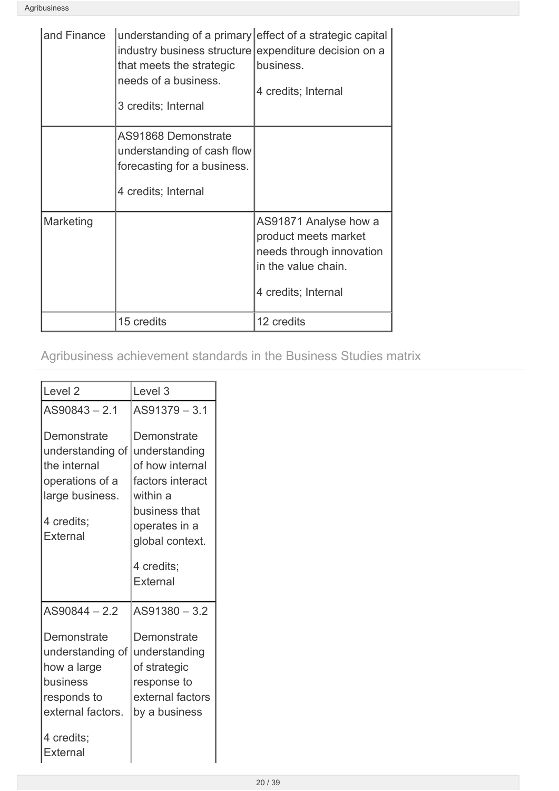| and Finance | understanding of a primary effect of a strategic capital<br>industry business structure expenditure decision on a<br>that meets the strategic<br>needs of a business.<br>3 credits; Internal | business.<br>4 credits; Internal                                                                                        |
|-------------|----------------------------------------------------------------------------------------------------------------------------------------------------------------------------------------------|-------------------------------------------------------------------------------------------------------------------------|
|             | AS91868 Demonstrate<br>understanding of cash flow<br>forecasting for a business.<br>4 credits; Internal                                                                                      |                                                                                                                         |
| Marketing   |                                                                                                                                                                                              | AS91871 Analyse how a<br>product meets market<br>needs through innovation<br>in the value chain.<br>4 credits; Internal |
|             | 15 credits                                                                                                                                                                                   | 12 credits                                                                                                              |

Agribusiness achievement standards in the Business Studies matrix

| Level <sub>2</sub>                                                                                              | Level <sub>3</sub>                                                                                                                                             |
|-----------------------------------------------------------------------------------------------------------------|----------------------------------------------------------------------------------------------------------------------------------------------------------------|
| $AS90843 - 2.1$                                                                                                 | $AS91379 - 3.1$                                                                                                                                                |
| Demonstrate<br>understanding of<br>the internal<br>operations of a<br>large business.<br>4 credits;<br>External | Demonstrate<br>understanding<br>of how internal<br>factors interact<br>within a<br>business that<br>operates in a<br>global context.<br>4 credits;<br>External |
| AS90844-2.2                                                                                                     | AS91380-3.2                                                                                                                                                    |
| Demonstrate<br>understanding of<br>how a large<br>business<br>responds to<br>external factors.                  | Demonstrate<br>understanding<br>of strategic<br>response to<br>external factors<br>by a business                                                               |
| 4 credits;<br>External                                                                                          |                                                                                                                                                                |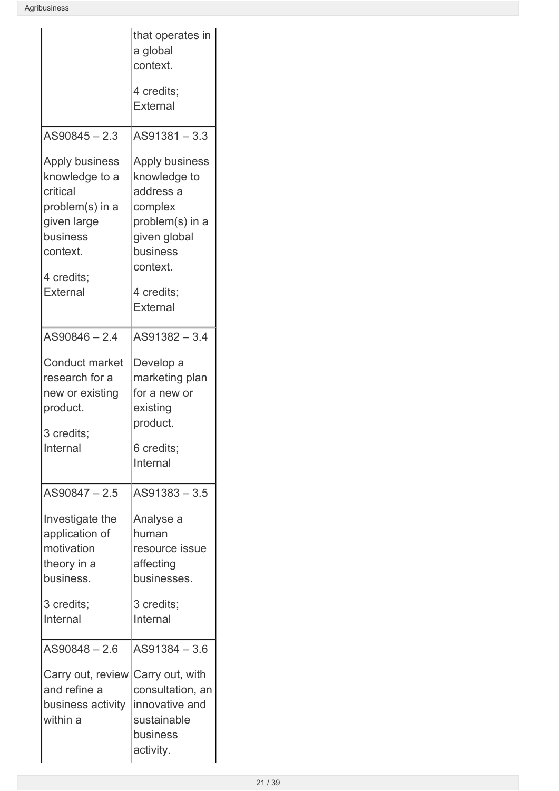|                                                                                                                                         | that operates in<br>a global<br>context.                                                                                                           |
|-----------------------------------------------------------------------------------------------------------------------------------------|----------------------------------------------------------------------------------------------------------------------------------------------------|
|                                                                                                                                         | 4 credits;<br>External                                                                                                                             |
| AS90845 - 2.3                                                                                                                           | AS91381-3.3                                                                                                                                        |
| Apply business<br>knowledge to a<br>critical<br>problem(s) in a<br>given large<br>business<br>context.<br>4 credits;<br><b>External</b> | Apply business<br>knowledge to<br>address a<br>complex<br>problem(s) in a<br>given global<br>business<br>context.<br>4 credits;<br><b>External</b> |
| $AS90846 - 2.4$                                                                                                                         | $AS91382 - 3.4$                                                                                                                                    |
| <b>Conduct market</b><br>research for a<br>new or existing<br>product.<br>3 credits;<br>Internal                                        | Develop a<br>marketing plan<br>for a new or<br>existing<br>product.<br>6 credits;<br>Internal                                                      |
| AS90847-2.5                                                                                                                             | $AS91383 - 3.5$                                                                                                                                    |
| Investigate the<br>application of<br>motivation<br>theory in a<br>business.                                                             | Analyse a<br>human<br>resource issue<br>affecting<br>businesses.                                                                                   |
| 3 credits;<br>Internal                                                                                                                  | 3 credits;<br>Internal                                                                                                                             |
| AS90848-2.6                                                                                                                             | AS91384 - 3.6                                                                                                                                      |
| Carry out, review Carry out, with<br>and refine a<br>business activity<br>within a                                                      | consultation, an<br>innovative and<br>sustainable<br>business<br>activity.                                                                         |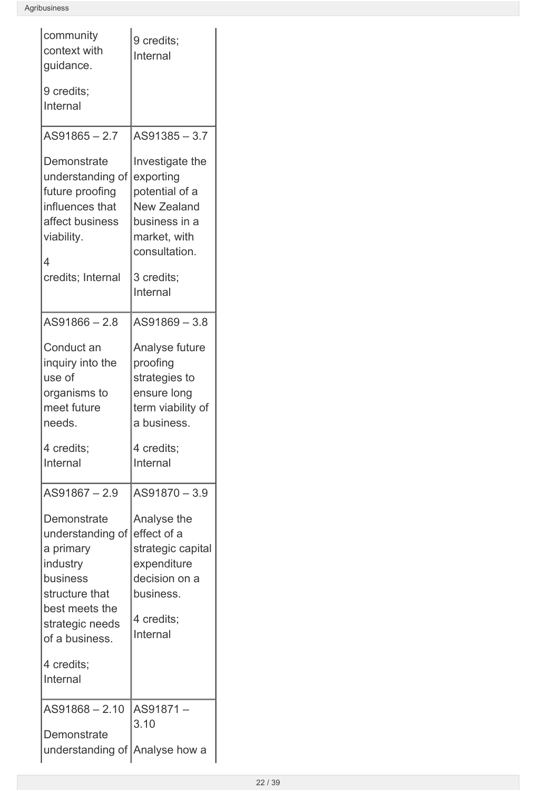| community<br>context with<br>guidance.                                                                                                        | 9 credits;<br>Internal                                                                                                 |
|-----------------------------------------------------------------------------------------------------------------------------------------------|------------------------------------------------------------------------------------------------------------------------|
| 9 credits;<br>Internal                                                                                                                        |                                                                                                                        |
| $AS91865 - 2.7$                                                                                                                               | $AS91385 - 3.7$                                                                                                        |
| Demonstrate<br>understanding of<br>future proofing<br>influences that<br>affect business<br>viability.<br>4                                   | Investigate the<br>exporting<br>potential of a<br><b>New Zealand</b><br>business in a<br>market, with<br>consultation. |
| credits; Internal                                                                                                                             | 3 credits;<br>Internal                                                                                                 |
| AS91866-2.8                                                                                                                                   | AS91869 - 3.8                                                                                                          |
| Conduct an<br>inquiry into the<br>use of<br>organisms to<br>meet future<br>needs.                                                             | Analyse future<br>proofing<br>strategies to<br>ensure long<br>term viability of<br>a business.                         |
| 4 credits;<br>Internal                                                                                                                        | 4 credits;<br>Internal                                                                                                 |
| AS91867-2.9                                                                                                                                   | $AS91870 - 3.9$                                                                                                        |
| Demonstrate<br>understanding of<br>a primary<br>industry<br>business<br>structure that<br>best meets the<br>strategic needs<br>of a business. | Analyse the<br>effect of a<br>strategic capital<br>expenditure<br>decision on a<br>business.<br>4 credits;<br>Internal |
| 4 credits;<br>Internal                                                                                                                        |                                                                                                                        |
| $AS91868 - 2.10$<br>Demonstrate<br>understanding of Analyse how a                                                                             | AS91871-<br>3.10                                                                                                       |
|                                                                                                                                               |                                                                                                                        |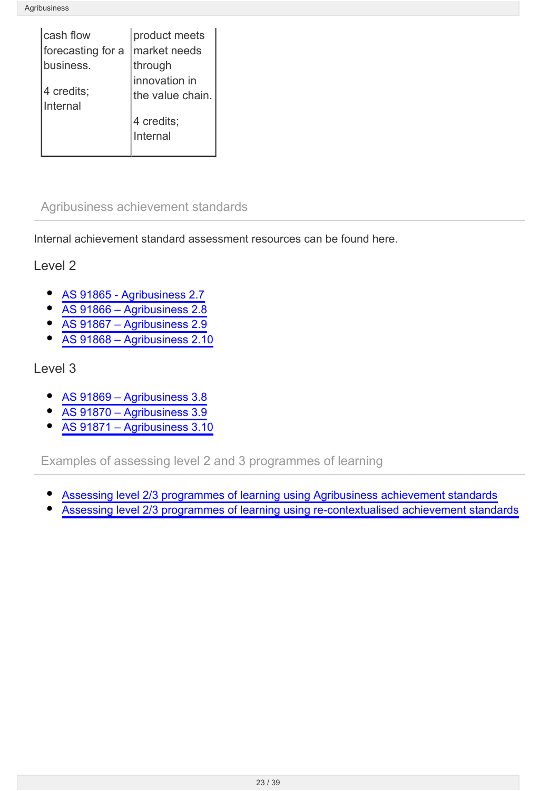| cash flow         | product meets    |
|-------------------|------------------|
| forecasting for a | market needs     |
| business.         | through          |
|                   | innovation in    |
| 4 credits;        | the value chain. |
| Internal          |                  |
|                   | 4 credits;       |
|                   | Internal         |
|                   |                  |

## <span id="page-22-0"></span>Agribusiness achievement standards

Internal achievement standard assessment resources can be found here.

Level 2

- [AS 91865 Agribusiness 2.7](http://seniorsecondary.tki.org.nz/Integrated-studies/Agribusiness/Assessment/AS-91865)  $\bullet$
- [AS 91866 Agribusiness 2.8](http://seniorsecondary.tki.org.nz/Integrated-studies/Agribusiness/Assessment/AS-91866)
- [AS 91867 Agribusiness 2.9](http://seniorsecondary.tki.org.nz/Integrated-studies/Agribusiness/Assessment/AS-91867)  $\bullet$
- [AS 91868 Agribusiness 2.10](http://seniorsecondary.tki.org.nz/Integrated-studies/Agribusiness/Assessment/AS-91868)

Level 3

- [AS 91869 Agribusiness 3.8](http://seniorsecondary.tki.org.nz/Integrated-studies/Agribusiness/Assessment/AS-91869)
- [AS 91870 Agribusiness 3.9](http://seniorsecondary.tki.org.nz/Integrated-studies/Agribusiness/Assessment/AS-91870)
- [AS 91871 Agribusiness 3.10](http://seniorsecondary.tki.org.nz/Integrated-studies/Agribusiness/Assessment/AS-91871)

Examples of assessing level 2 and 3 programmes of learning

- [Assessing level 2/3 programmes of learning using Agribusiness achievement standards](http://seniorsecondary.tki.org.nz/Integrated-studies/Agribusiness/Assessment/Examples-of-assessing-level-2-3-programmes-of-learning-using-Agribusiness-achievement-standards)
- [Assessing level 2/3 programmes of learning using re-contextualised achievement standards](http://seniorsecondary.tki.org.nz/Integrated-studies/Agribusiness/Assessment/Examples-of-assessing-level-2-3-programmes-of-learning-using-re-contextualised-achievement-standards)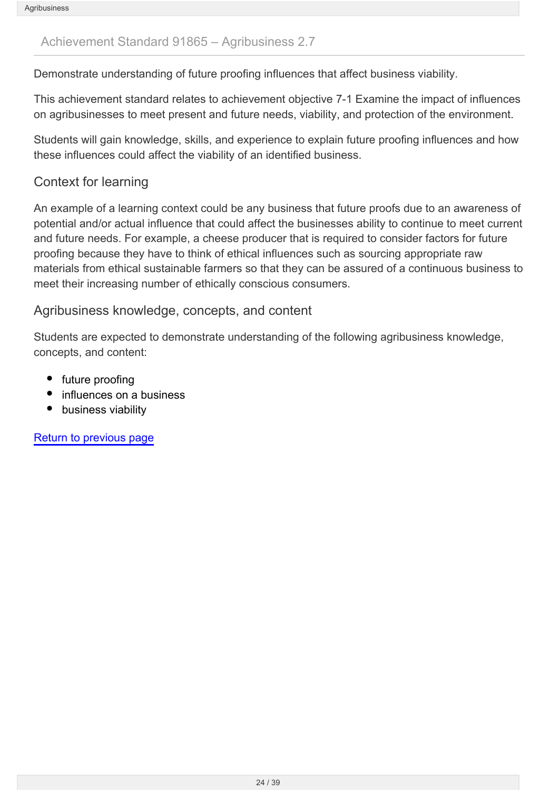#### <span id="page-23-0"></span>Achievement Standard 91865 – Agribusiness 2.7

Demonstrate understanding of future proofing influences that affect business viability.

This achievement standard relates to achievement objective 7-1 Examine the impact of influences on agribusinesses to meet present and future needs, viability, and protection of the environment.

Students will gain knowledge, skills, and experience to explain future proofing influences and how these influences could affect the viability of an identified business.

### Context for learning

An example of a learning context could be any business that future proofs due to an awareness of potential and/or actual influence that could affect the businesses ability to continue to meet current and future needs. For example, a cheese producer that is required to consider factors for future proofing because they have to think of ethical influences such as sourcing appropriate raw materials from ethical sustainable farmers so that they can be assured of a continuous business to meet their increasing number of ethically conscious consumers.

#### Agribusiness knowledge, concepts, and content

Students are expected to demonstrate understanding of the following agribusiness knowledge, concepts, and content:

- future proofing
- influences on a business
- business viability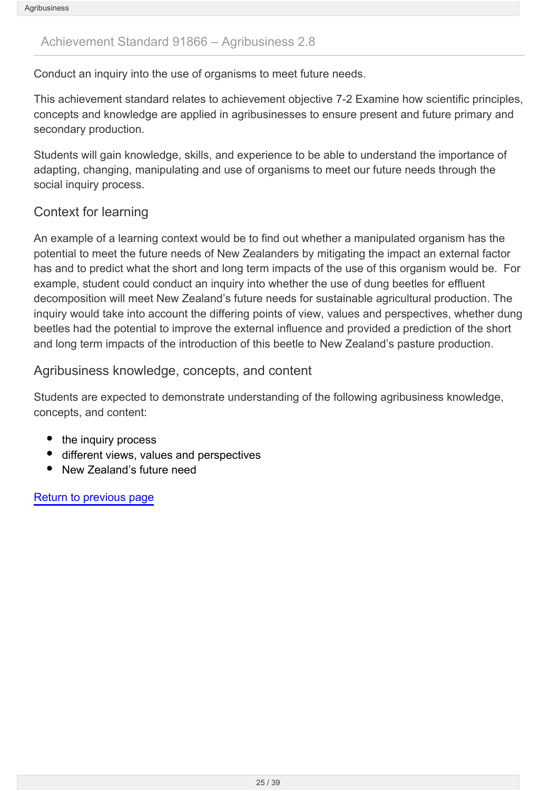#### <span id="page-24-0"></span>Achievement Standard 91866 – Agribusiness 2.8

Conduct an inquiry into the use of organisms to meet future needs.

This achievement standard relates to achievement objective 7-2 Examine how scientific principles, concepts and knowledge are applied in agribusinesses to ensure present and future primary and secondary production.

Students will gain knowledge, skills, and experience to be able to understand the importance of adapting, changing, manipulating and use of organisms to meet our future needs through the social inquiry process.

### Context for learning

An example of a learning context would be to find out whether a manipulated organism has the potential to meet the future needs of New Zealanders by mitigating the impact an external factor has and to predict what the short and long term impacts of the use of this organism would be. For example, student could conduct an inquiry into whether the use of dung beetles for effluent decomposition will meet New Zealand's future needs for sustainable agricultural production. The inquiry would take into account the differing points of view, values and perspectives, whether dung beetles had the potential to improve the external influence and provided a prediction of the short and long term impacts of the introduction of this beetle to New Zealand's pasture production.

#### Agribusiness knowledge, concepts, and content

Students are expected to demonstrate understanding of the following agribusiness knowledge, concepts, and content:

- the inquiry process
- different views, values and perspectives
- New Zealand's future need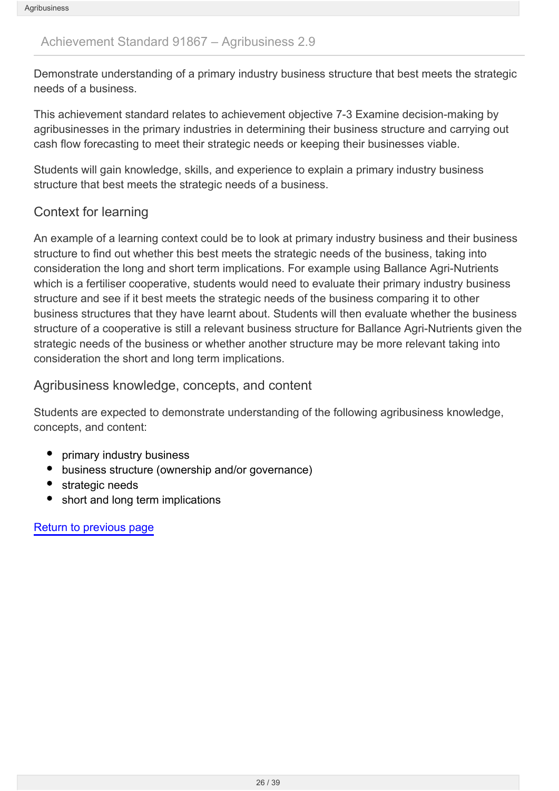#### <span id="page-25-0"></span>Achievement Standard 91867 – Agribusiness 2.9

Demonstrate understanding of a primary industry business structure that best meets the strategic needs of a business.

This achievement standard relates to achievement objective 7-3 Examine decision-making by agribusinesses in the primary industries in determining their business structure and carrying out cash flow forecasting to meet their strategic needs or keeping their businesses viable.

Students will gain knowledge, skills, and experience to explain a primary industry business structure that best meets the strategic needs of a business.

### Context for learning

An example of a learning context could be to look at primary industry business and their business structure to find out whether this best meets the strategic needs of the business, taking into consideration the long and short term implications. For example using Ballance Agri-Nutrients which is a fertiliser cooperative, students would need to evaluate their primary industry business structure and see if it best meets the strategic needs of the business comparing it to other business structures that they have learnt about. Students will then evaluate whether the business structure of a cooperative is still a relevant business structure for Ballance Agri-Nutrients given the strategic needs of the business or whether another structure may be more relevant taking into consideration the short and long term implications.

#### Agribusiness knowledge, concepts, and content

Students are expected to demonstrate understanding of the following agribusiness knowledge, concepts, and content:

- primary industry business
- business structure (ownership and/or governance)
- strategic needs
- short and long term implications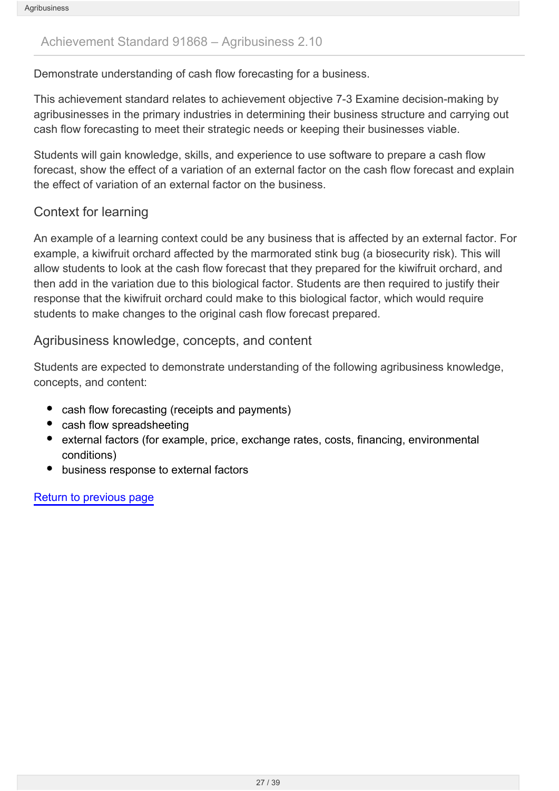### <span id="page-26-0"></span>Achievement Standard 91868 – Agribusiness 2.10

Demonstrate understanding of cash flow forecasting for a business.

This achievement standard relates to achievement objective 7-3 Examine decision-making by agribusinesses in the primary industries in determining their business structure and carrying out cash flow forecasting to meet their strategic needs or keeping their businesses viable.

Students will gain knowledge, skills, and experience to use software to prepare a cash flow forecast, show the effect of a variation of an external factor on the cash flow forecast and explain the effect of variation of an external factor on the business.

### Context for learning

An example of a learning context could be any business that is affected by an external factor. For example, a kiwifruit orchard affected by the marmorated stink bug (a biosecurity risk). This will allow students to look at the cash flow forecast that they prepared for the kiwifruit orchard, and then add in the variation due to this biological factor. Students are then required to justify their response that the kiwifruit orchard could make to this biological factor, which would require students to make changes to the original cash flow forecast prepared.

#### Agribusiness knowledge, concepts, and content

Students are expected to demonstrate understanding of the following agribusiness knowledge, concepts, and content:

- cash flow forecasting (receipts and payments)
- cash flow spreadsheeting
- external factors (for example, price, exchange rates, costs, financing, environmental conditions)
- business response to external factors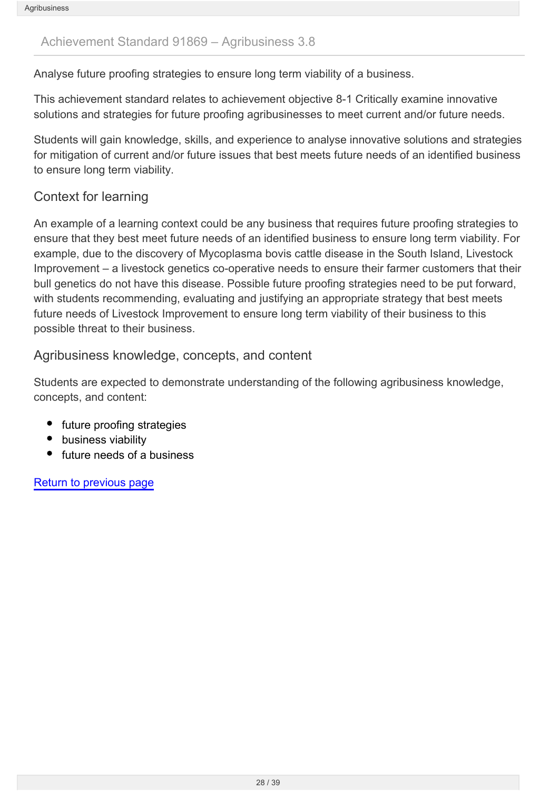#### <span id="page-27-0"></span>Achievement Standard 91869 – Agribusiness 3.8

Analyse future proofing strategies to ensure long term viability of a business.

This achievement standard relates to achievement objective 8-1 Critically examine innovative solutions and strategies for future proofing agribusinesses to meet current and/or future needs.

Students will gain knowledge, skills, and experience to analyse innovative solutions and strategies for mitigation of current and/or future issues that best meets future needs of an identified business to ensure long term viability.

### Context for learning

An example of a learning context could be any business that requires future proofing strategies to ensure that they best meet future needs of an identified business to ensure long term viability. For example, due to the discovery of Mycoplasma bovis cattle disease in the South Island, Livestock Improvement – a livestock genetics co-operative needs to ensure their farmer customers that their bull genetics do not have this disease. Possible future proofing strategies need to be put forward, with students recommending, evaluating and justifying an appropriate strategy that best meets future needs of Livestock Improvement to ensure long term viability of their business to this possible threat to their business.

#### Agribusiness knowledge, concepts, and content

Students are expected to demonstrate understanding of the following agribusiness knowledge, concepts, and content:

- future proofing strategies
- business viability
- future needs of a business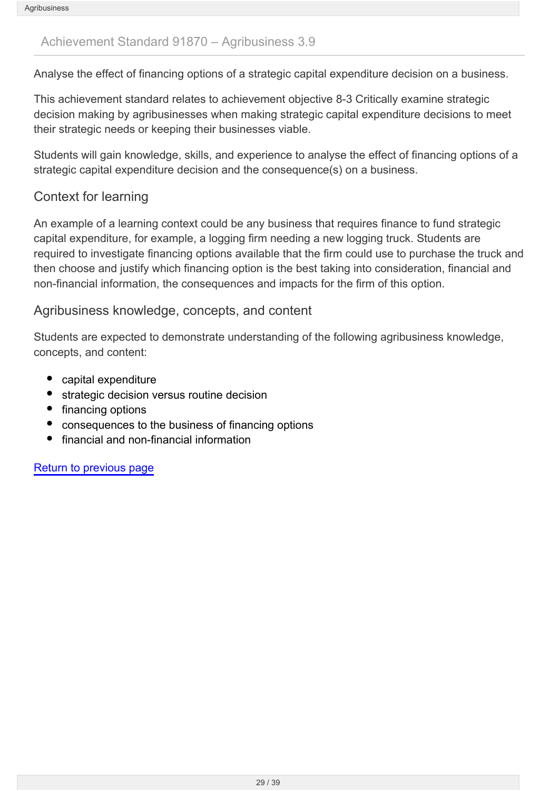#### <span id="page-28-0"></span>Achievement Standard 91870 – Agribusiness 3.9

Analyse the effect of financing options of a strategic capital expenditure decision on a business.

This achievement standard relates to achievement objective 8-3 Critically examine strategic decision making by agribusinesses when making strategic capital expenditure decisions to meet their strategic needs or keeping their businesses viable.

Students will gain knowledge, skills, and experience to analyse the effect of financing options of a strategic capital expenditure decision and the consequence(s) on a business.

### Context for learning

An example of a learning context could be any business that requires finance to fund strategic capital expenditure, for example, a logging firm needing a new logging truck. Students are required to investigate financing options available that the firm could use to purchase the truck and then choose and justify which financing option is the best taking into consideration, financial and non-financial information, the consequences and impacts for the firm of this option.

#### Agribusiness knowledge, concepts, and content

Students are expected to demonstrate understanding of the following agribusiness knowledge, concepts, and content:

- capital expenditure
- strategic decision versus routine decision
- financing options
- consequences to the business of financing options
- financial and non-financial information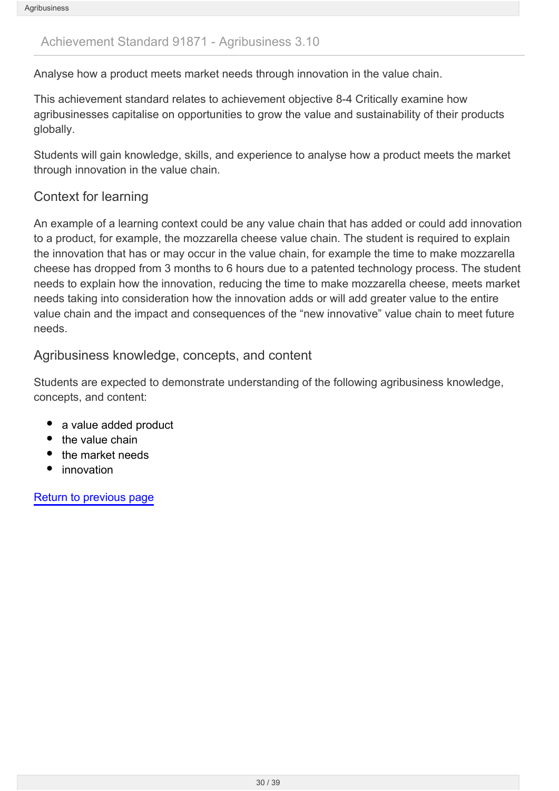#### <span id="page-29-0"></span>Achievement Standard 91871 - Agribusiness 3.10

Analyse how a product meets market needs through innovation in the value chain.

This achievement standard relates to achievement objective 8-4 Critically examine how agribusinesses capitalise on opportunities to grow the value and sustainability of their products globally.

Students will gain knowledge, skills, and experience to analyse how a product meets the market through innovation in the value chain.

### Context for learning

An example of a learning context could be any value chain that has added or could add innovation to a product, for example, the mozzarella cheese value chain. The student is required to explain the innovation that has or may occur in the value chain, for example the time to make mozzarella cheese has dropped from 3 months to 6 hours due to a patented technology process. The student needs to explain how the innovation, reducing the time to make mozzarella cheese, meets market needs taking into consideration how the innovation adds or will add greater value to the entire value chain and the impact and consequences of the "new innovative" value chain to meet future needs.

#### Agribusiness knowledge, concepts, and content

Students are expected to demonstrate understanding of the following agribusiness knowledge, concepts, and content:

- a value added product
- the value chain
- the market needs
- innovation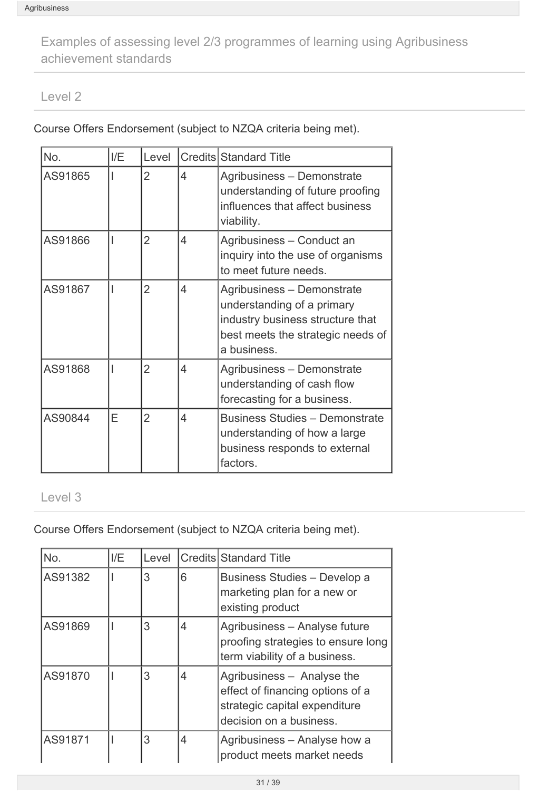<span id="page-30-0"></span>Examples of assessing level 2/3 programmes of learning using Agribusiness achievement standards

#### Level 2

Course Offers Endorsement (subject to NZQA criteria being met).

| No.     | I/E | Level          |   | Credits Standard Title                                                                                                                           |
|---------|-----|----------------|---|--------------------------------------------------------------------------------------------------------------------------------------------------|
| AS91865 |     | $\overline{2}$ | 4 | Agribusiness - Demonstrate<br>understanding of future proofing<br>influences that affect business<br>viability.                                  |
| AS91866 |     | $\overline{2}$ | 4 | Agribusiness - Conduct an<br>inquiry into the use of organisms<br>to meet future needs.                                                          |
| AS91867 |     | $\overline{2}$ | 4 | Agribusiness - Demonstrate<br>understanding of a primary<br>industry business structure that<br>best meets the strategic needs of<br>a business. |
| AS91868 |     | $\overline{2}$ | 4 | Agribusiness - Demonstrate<br>understanding of cash flow<br>forecasting for a business.                                                          |
| AS90844 | Е   | $\overline{2}$ | 4 | <b>Business Studies - Demonstrate</b><br>understanding of how a large<br>business responds to external<br>factors.                               |

### Level 3

Course Offers Endorsement (subject to NZQA criteria being met).

| No.     | I/E | Level |   | Credits Standard Title                                                                                                     |
|---------|-----|-------|---|----------------------------------------------------------------------------------------------------------------------------|
| AS91382 |     | 3     | 6 | Business Studies - Develop a<br>marketing plan for a new or<br>existing product                                            |
| AS91869 |     | 3     | 4 | Agribusiness - Analyse future<br>proofing strategies to ensure long<br>term viability of a business.                       |
| AS91870 |     | 3     | 4 | Agribusiness - Analyse the<br>effect of financing options of a<br>strategic capital expenditure<br>decision on a business. |
| AS91871 |     | 3     | 4 | Agribusiness - Analyse how a<br>product meets market needs                                                                 |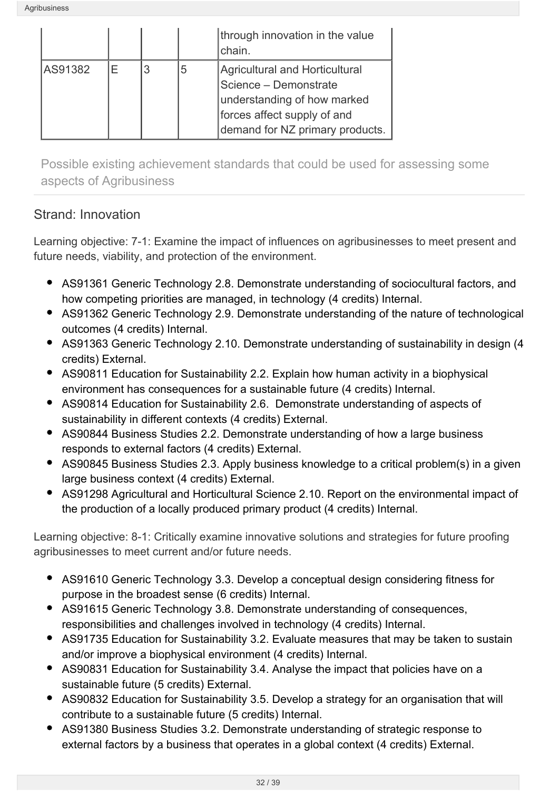|         |   |   | through innovation in the value<br>chain.                                                                                                                |
|---------|---|---|----------------------------------------------------------------------------------------------------------------------------------------------------------|
| AS91382 | F | b | Agricultural and Horticultural<br>Science - Demonstrate<br>understanding of how marked<br>forces affect supply of and<br>demand for NZ primary products. |

Possible existing achievement standards that could be used for assessing some aspects of Agribusiness

## Strand: Innovation

Learning objective: 7-1: Examine the impact of influences on agribusinesses to meet present and future needs, viability, and protection of the environment.

- AS91361 Generic Technology 2.8. Demonstrate understanding of sociocultural factors, and how competing priorities are managed, in technology (4 credits) Internal.
- AS91362 Generic Technology 2.9. Demonstrate understanding of the nature of technological outcomes (4 credits) Internal.
- AS91363 Generic Technology 2.10. Demonstrate understanding of sustainability in design (4 credits) External.
- AS90811 Education for Sustainability 2.2. Explain how human activity in a biophysical environment has consequences for a sustainable future (4 credits) Internal.
- AS90814 Education for Sustainability 2.6. Demonstrate understanding of aspects of sustainability in different contexts (4 credits) External.
- AS90844 Business Studies 2.2. Demonstrate understanding of how a large business responds to external factors (4 credits) External.
- AS90845 Business Studies 2.3. Apply business knowledge to a critical problem(s) in a given large business context (4 credits) External.
- AS91298 Agricultural and Horticultural Science 2.10. Report on the environmental impact of the production of a locally produced primary product (4 credits) Internal.

Learning objective: 8-1: Critically examine innovative solutions and strategies for future proofing agribusinesses to meet current and/or future needs.

- AS91610 Generic Technology 3.3. Develop a conceptual design considering fitness for purpose in the broadest sense (6 credits) Internal.
- AS91615 Generic Technology 3.8. Demonstrate understanding of consequences, responsibilities and challenges involved in technology (4 credits) Internal.
- AS91735 Education for Sustainability 3.2. Evaluate measures that may be taken to sustain and/or improve a biophysical environment (4 credits) Internal.
- AS90831 Education for Sustainability 3.4. Analyse the impact that policies have on a sustainable future (5 credits) External.
- AS90832 Education for Sustainability 3.5. Develop a strategy for an organisation that will contribute to a sustainable future (5 credits) Internal.
- AS91380 Business Studies 3.2. Demonstrate understanding of strategic response to external factors by a business that operates in a global context (4 credits) External.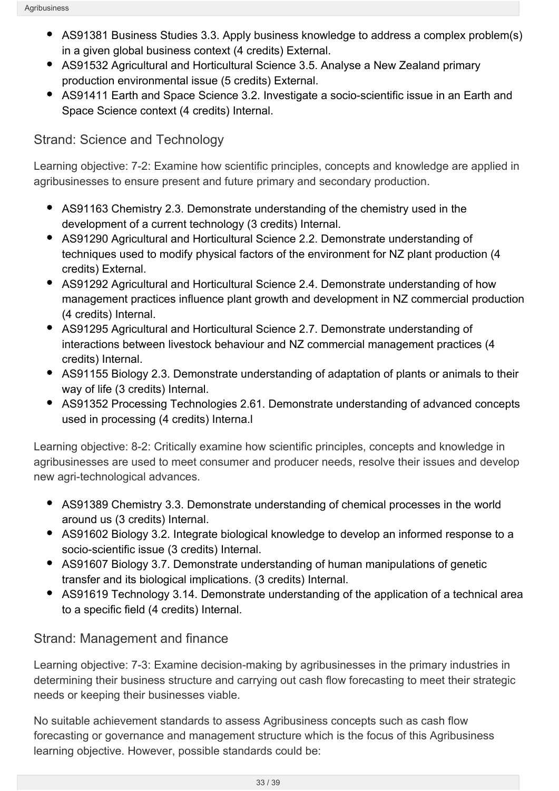- AS91381 Business Studies 3.3. Apply business knowledge to address a complex problem(s) in a given global business context (4 credits) External.
- AS91532 Agricultural and Horticultural Science 3.5. Analyse a New Zealand primary production environmental issue (5 credits) External.
- AS91411 Earth and Space Science 3.2. Investigate a socio-scientific issue in an Earth and Space Science context (4 credits) Internal.

## Strand: Science and Technology

Learning objective: 7-2: Examine how scientific principles, concepts and knowledge are applied in agribusinesses to ensure present and future primary and secondary production.

- AS91163 Chemistry 2.3. Demonstrate understanding of the chemistry used in the development of a current technology (3 credits) Internal.
- AS91290 Agricultural and Horticultural Science 2.2. Demonstrate understanding of techniques used to modify physical factors of the environment for NZ plant production (4 credits) External.
- AS91292 Agricultural and Horticultural Science 2.4. Demonstrate understanding of how management practices influence plant growth and development in NZ commercial production (4 credits) Internal.
- AS91295 Agricultural and Horticultural Science 2.7. Demonstrate understanding of interactions between livestock behaviour and NZ commercial management practices (4 credits) Internal.
- AS91155 Biology 2.3. Demonstrate understanding of adaptation of plants or animals to their way of life (3 credits) Internal.
- AS91352 Processing Technologies 2.61. Demonstrate understanding of advanced concepts used in processing (4 credits) Interna.l

Learning objective: 8-2: Critically examine how scientific principles, concepts and knowledge in agribusinesses are used to meet consumer and producer needs, resolve their issues and develop new agri-technological advances.

- AS91389 Chemistry 3.3. Demonstrate understanding of chemical processes in the world around us (3 credits) Internal.
- AS91602 Biology 3.2. Integrate biological knowledge to develop an informed response to a socio-scientific issue (3 credits) Internal.
- AS91607 Biology 3.7. Demonstrate understanding of human manipulations of genetic transfer and its biological implications. (3 credits) Internal.
- AS91619 Technology 3.14. Demonstrate understanding of the application of a technical area to a specific field (4 credits) Internal.

## Strand: Management and finance

Learning objective: 7-3: Examine decision-making by agribusinesses in the primary industries in determining their business structure and carrying out cash flow forecasting to meet their strategic needs or keeping their businesses viable.

No suitable achievement standards to assess Agribusiness concepts such as cash flow forecasting or governance and management structure which is the focus of this Agribusiness learning objective. However, possible standards could be: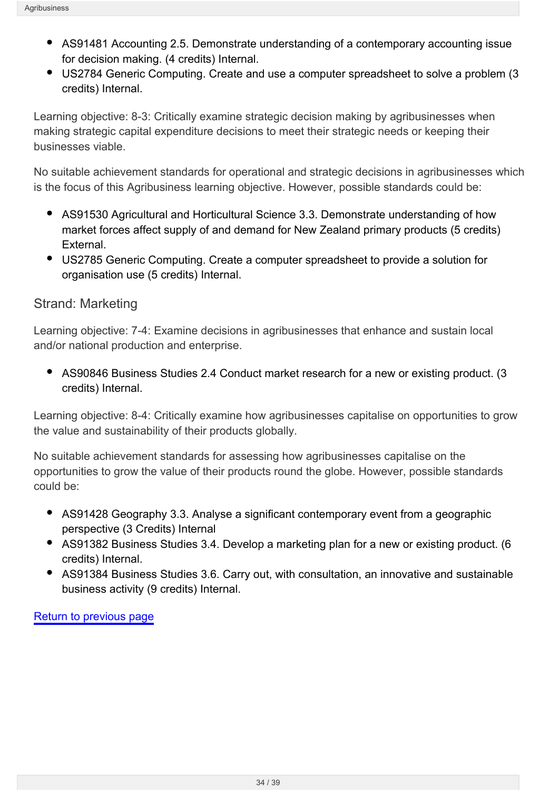- AS91481 Accounting 2.5. Demonstrate understanding of a contemporary accounting issue for decision making. (4 credits) Internal.
- US2784 Generic Computing. Create and use a computer spreadsheet to solve a problem (3 credits) Internal.

Learning objective: 8-3: Critically examine strategic decision making by agribusinesses when making strategic capital expenditure decisions to meet their strategic needs or keeping their businesses viable.

No suitable achievement standards for operational and strategic decisions in agribusinesses which is the focus of this Agribusiness learning objective. However, possible standards could be:

- AS91530 Agricultural and Horticultural Science 3.3. Demonstrate understanding of how market forces affect supply of and demand for New Zealand primary products (5 credits) External.
- US2785 Generic Computing. Create a computer spreadsheet to provide a solution for organisation use (5 credits) Internal.

## Strand: Marketing

Learning objective: 7-4: Examine decisions in agribusinesses that enhance and sustain local and/or national production and enterprise.

AS90846 Business Studies 2.4 Conduct market research for a new or existing product. (3 credits) Internal.

Learning objective: 8-4: Critically examine how agribusinesses capitalise on opportunities to grow the value and sustainability of their products globally.

No suitable achievement standards for assessing how agribusinesses capitalise on the opportunities to grow the value of their products round the globe. However, possible standards could be:

- AS91428 Geography 3.3. Analyse a significant contemporary event from a geographic perspective (3 Credits) Internal
- AS91382 Business Studies 3.4. Develop a marketing plan for a new or existing product. (6 credits) Internal.
- AS91384 Business Studies 3.6. Carry out, with consultation, an innovative and sustainable business activity (9 credits) Internal.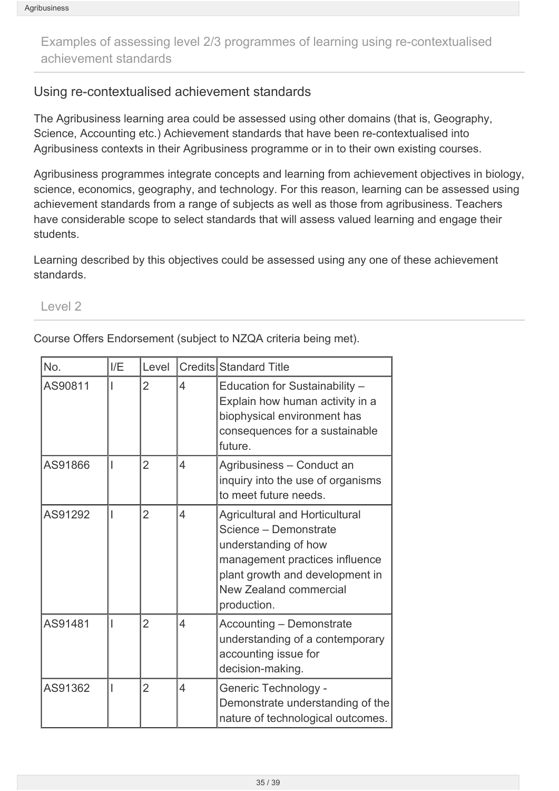<span id="page-34-0"></span>Examples of assessing level 2/3 programmes of learning using re-contextualised achievement standards

#### Using re-contextualised achievement standards

The Agribusiness learning area could be assessed using other domains (that is, Geography, Science, Accounting etc.) Achievement standards that have been re-contextualised into Agribusiness contexts in their Agribusiness programme or in to their own existing courses.

Agribusiness programmes integrate concepts and learning from achievement objectives in biology, science, economics, geography, and technology. For this reason, learning can be assessed using achievement standards from a range of subjects as well as those from agribusiness. Teachers have considerable scope to select standards that will assess valued learning and engage their students.

Learning described by this objectives could be assessed using any one of these achievement standards.

#### Level 2

Course Offers Endorsement (subject to NZQA criteria being met).

| No.     | I/E | Level          |                | Credits Standard Title                                                                                                                                                                               |
|---------|-----|----------------|----------------|------------------------------------------------------------------------------------------------------------------------------------------------------------------------------------------------------|
| AS90811 |     | $\overline{2}$ | $\overline{4}$ | Education for Sustainability -<br>Explain how human activity in a<br>biophysical environment has<br>consequences for a sustainable<br>future.                                                        |
| AS91866 |     | $\overline{2}$ | 4              | Agribusiness - Conduct an<br>inquiry into the use of organisms<br>to meet future needs.                                                                                                              |
| AS91292 |     | $\overline{2}$ | $\overline{4}$ | <b>Agricultural and Horticultural</b><br>Science - Demonstrate<br>understanding of how<br>management practices influence<br>plant growth and development in<br>New Zealand commercial<br>production. |
| AS91481 |     | $\overline{2}$ | 4              | <b>Accounting - Demonstrate</b><br>understanding of a contemporary<br>accounting issue for<br>decision-making.                                                                                       |
| AS91362 |     | $\overline{2}$ | 4              | Generic Technology -<br>Demonstrate understanding of the<br>nature of technological outcomes.                                                                                                        |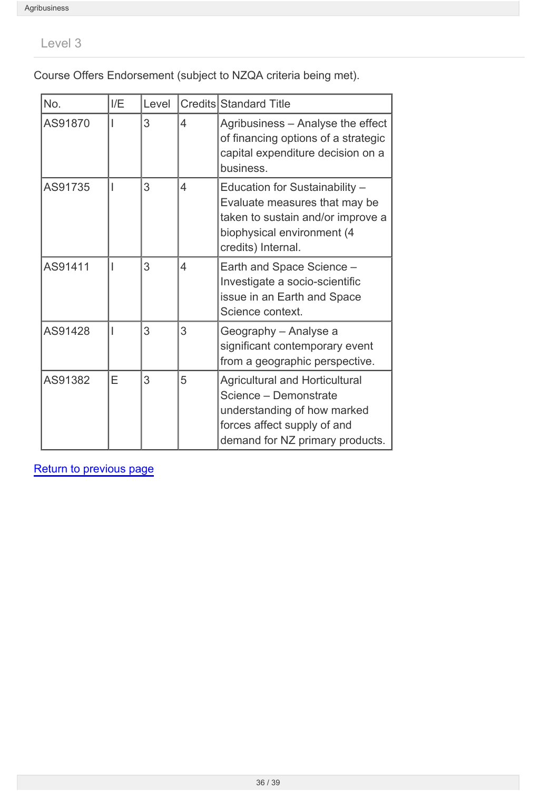Level 3

Course Offers Endorsement (subject to NZQA criteria being met).

| No.     | I/E | Level |                          | Credits Standard Title                                                                                                                                          |
|---------|-----|-------|--------------------------|-----------------------------------------------------------------------------------------------------------------------------------------------------------------|
| AS91870 |     | 3     | 4                        | Agribusiness - Analyse the effect<br>of financing options of a strategic<br>capital expenditure decision on a<br>business.                                      |
| AS91735 |     | 3     | 4                        | Education for Sustainability -<br>Evaluate measures that may be<br>taken to sustain and/or improve a<br>biophysical environment (4<br>credits) Internal.        |
| AS91411 |     | 3     | $\overline{\mathcal{L}}$ | Earth and Space Science -<br>Investigate a socio-scientific<br>issue in an Earth and Space<br>Science context.                                                  |
| AS91428 |     | 3     | 3                        | Geography - Analyse a<br>significant contemporary event<br>from a geographic perspective.                                                                       |
| AS91382 | Е   | 3     | 5                        | <b>Agricultural and Horticultural</b><br>Science - Demonstrate<br>understanding of how marked<br>forces affect supply of and<br>demand for NZ primary products. |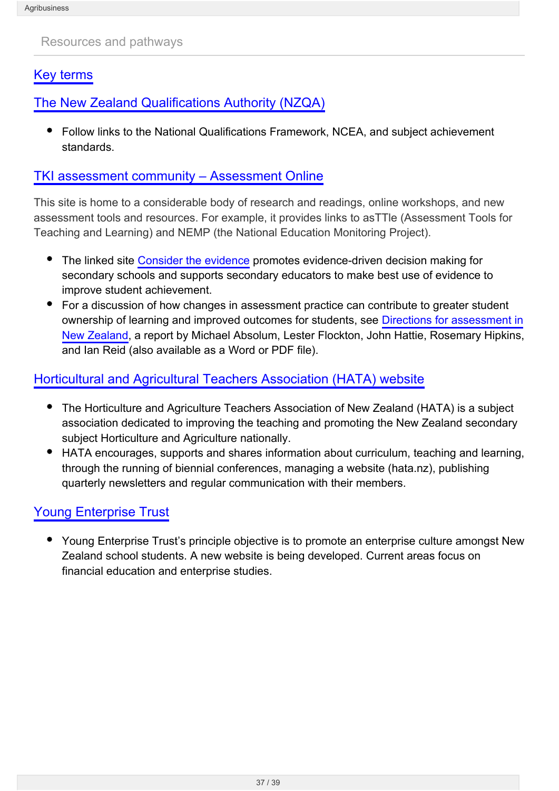<span id="page-36-0"></span>Resources and pathways

### [Key terms](http://seniorsecondary.tki.org.nz/Integrated-studies/Agribusiness/Resources/Key-terms)

[The New Zealand Qualifications Authority \(NZQA\)](http://www.nzqa.govt.nz/)

Follow links to the National Qualifications Framework, NCEA, and subject achievement standards.

#### [TKI assessment community – Assessment Online](http://www.tki.org.nz/r/assessment)

This site is home to a considerable body of research and readings, online workshops, and new assessment tools and resources. For example, it provides links to asTTle (Assessment Tools for Teaching and Learning) and NEMP (the National Education Monitoring Project).

- The linked site [Consider the evidence](http://assessment.tki.org.nz/Using-evidence-for-learning/Gathering-evidence/Topics/Consider-the-evidence) promotes evidence-driven decision making for secondary schools and supports secondary educators to make best use of evidence to improve student achievement.
- For a discussion of how changes in assessment practice can contribute to greater student ownership of learning and improved outcomes for students, see [Directions for assessment in](http://assessment.tki.org.nz/Media/Files/Directions-for-Assessment-in-New-Zealand) [New Zealand,](http://assessment.tki.org.nz/Media/Files/Directions-for-Assessment-in-New-Zealand) a report by Michael Absolum, Lester Flockton, John Hattie, Rosemary Hipkins, and Ian Reid (also available as a Word or PDF file).

### [Horticultural and Agricultural Teachers Association \(HATA\) website](https://hata.nz/)

- The Horticulture and Agriculture Teachers Association of New Zealand (HATA) is a subject association dedicated to improving the teaching and promoting the New Zealand secondary subject Horticulture and Agriculture nationally.
- HATA encourages, supports and shares information about curriculum, teaching and learning, through the running of biennial conferences, managing a website (hata.nz), publishing quarterly newsletters and regular communication with their members.

### [Young Enterprise Trust](http://www.yetrust.co.nz/)

Young Enterprise Trust's principle objective is to promote an enterprise culture amongst New Zealand school students. A new website is being developed. Current areas focus on financial education and enterprise studies.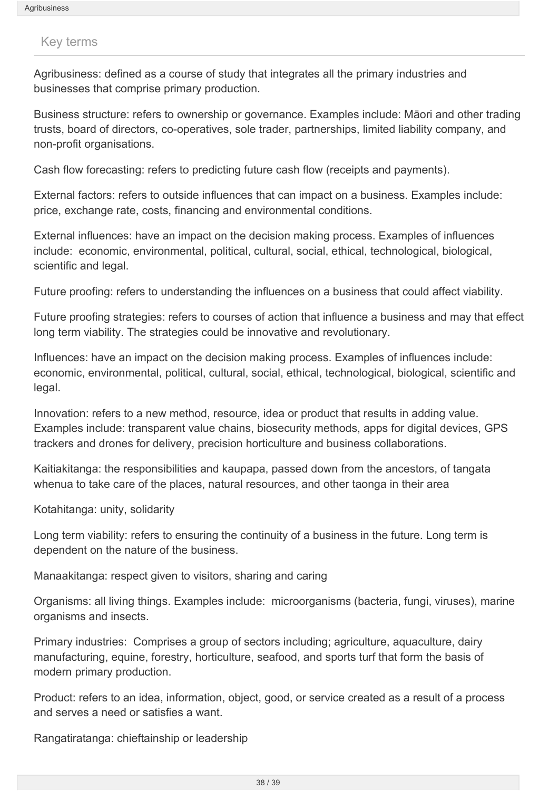#### <span id="page-37-0"></span>Key terms

Agribusiness: defined as a course of study that integrates all the primary industries and businesses that comprise primary production.

Business structure: refers to ownership or governance. Examples include: Māori and other trading trusts, board of directors, co-operatives, sole trader, partnerships, limited liability company, and non-profit organisations.

Cash flow forecasting: refers to predicting future cash flow (receipts and payments).

External factors: refers to outside influences that can impact on a business. Examples include: price, exchange rate, costs, financing and environmental conditions.

External influences: have an impact on the decision making process. Examples of influences include: economic, environmental, political, cultural, social, ethical, technological, biological, scientific and legal.

Future proofing: refers to understanding the influences on a business that could affect viability.

Future proofing strategies: refers to courses of action that influence a business and may that effect long term viability. The strategies could be innovative and revolutionary.

Influences: have an impact on the decision making process. Examples of influences include: economic, environmental, political, cultural, social, ethical, technological, biological, scientific and legal.

Innovation: refers to a new method, resource, idea or product that results in adding value. Examples include: transparent value chains, biosecurity methods, apps for digital devices, GPS trackers and drones for delivery, precision horticulture and business collaborations.

Kaitiakitanga: the responsibilities and kaupapa, passed down from the ancestors, of tangata whenua to take care of the places, natural resources, and other taonga in their area

Kotahitanga: unity, solidarity

Long term viability: refers to ensuring the continuity of a business in the future. Long term is dependent on the nature of the business.

Manaakitanga: respect given to visitors, sharing and caring

Organisms: all living things. Examples include: microorganisms (bacteria, fungi, viruses), marine organisms and insects.

Primary industries: Comprises a group of sectors including; agriculture, aquaculture, dairy manufacturing, equine, forestry, horticulture, seafood, and sports turf that form the basis of modern primary production.

Product: refers to an idea, information, object, good, or service created as a result of a process and serves a need or satisfies a want.

Rangatiratanga: chieftainship or leadership